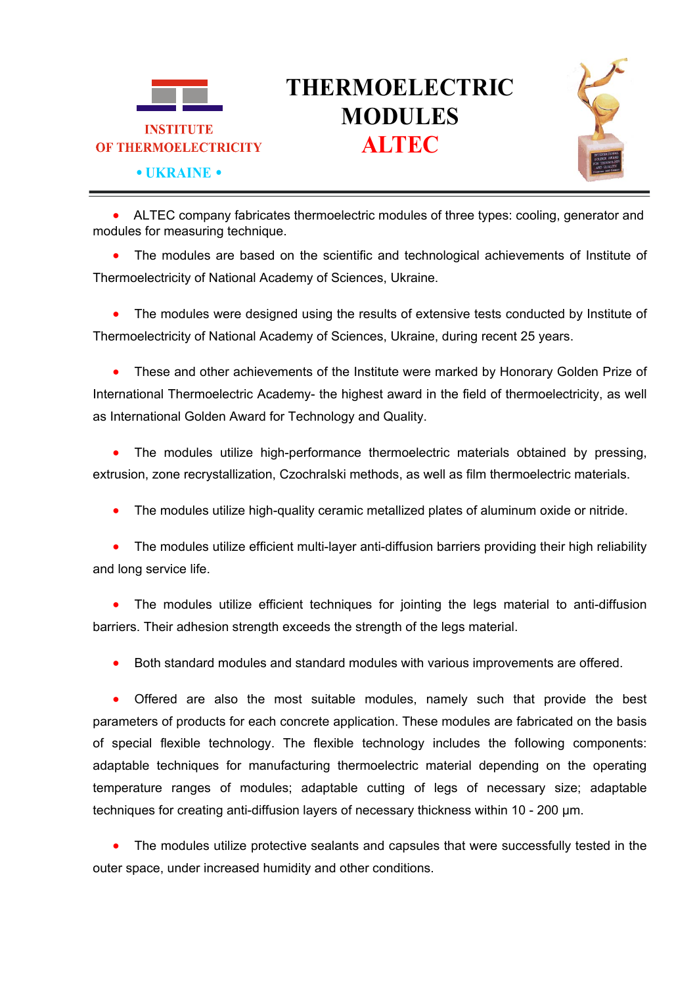

# **THERMOELECTRIC MODULES**



 ALTEC company fabricates thermoelectric modules of three types: cooling, generator and modules for measuring technique.

• The modules are based on the scientific and technological achievements of Institute of Thermoelectricity of National Academy of Sciences, Ukraine.

 The modules were designed using the results of extensive tests conducted by Institute of Thermoelectricity of National Academy of Sciences, Ukraine, during recent 25 years.

 These and other achievements of the Institute were marked by Honorary Golden Prize of International Thermoelectric Academy- the highest award in the field of thermoelectricity, as well as International Golden Award for Technology and Quality.

• The modules utilize high-performance thermoelectric materials obtained by pressing, extrusion, zone recrystallization, Czochralski methods, as well as film thermoelectric materials.

The modules utilize high-quality ceramic metallized plates of aluminum oxide or nitride.

 The modules utilize efficient multi-layer anti-diffusion barriers providing their high reliability and long service life.

 The modules utilize efficient techniques for jointing the legs material to anti-diffusion barriers. Their adhesion strength exceeds the strength of the legs material.

Both standard modules and standard modules with various improvements are offered.

 Offered are also the most suitable modules, namely such that provide the best parameters of products for each concrete application. These modules are fabricated on the basis of special flexible technology. The flexible technology includes the following components: adaptable techniques for manufacturing thermoelectric material depending on the operating temperature ranges of modules; adaptable cutting of legs of necessary size; adaptable techniques for creating anti-diffusion layers of necessary thickness within 10 - 200 µm.

 The modules utilize protective sealants and capsules that were successfully tested in the outer space, under increased humidity and other conditions.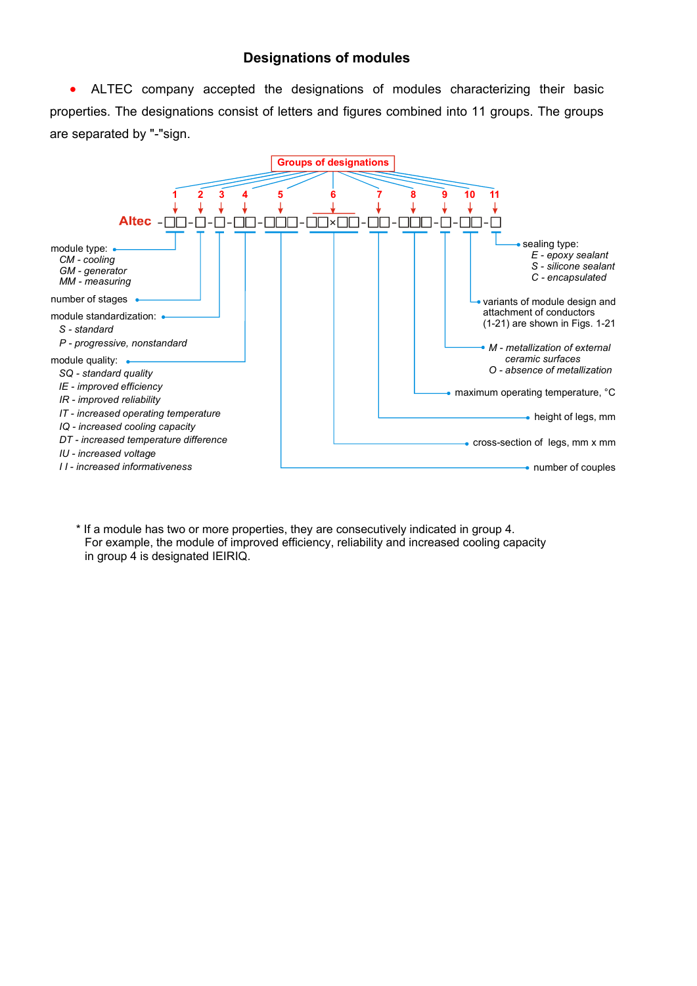## **Designations of modules**

 ALTEC company accepted the designations of modules characterizing their basic properties. The designations consist of letters and figures combined into 11 groups. The groups are separated by "-"sign.



\* If a module has two or more properties, they are consecutively indicated in group 4. For example, the module of improved efficiency, reliability and increased cooling capacity in group 4 is designated IEIRIQ.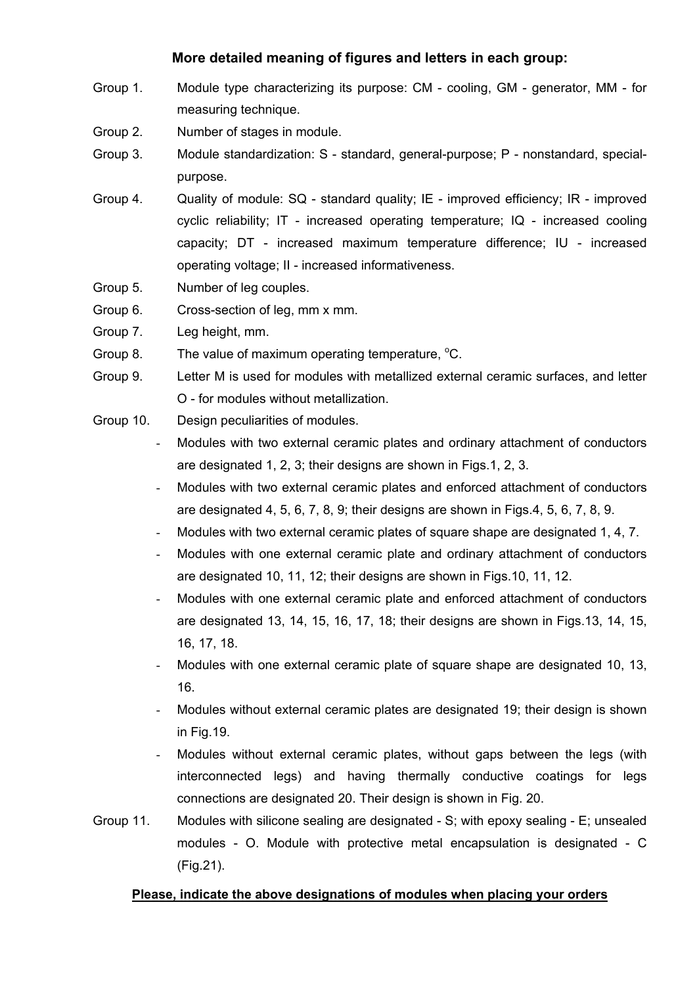## **More detailed meaning of figures and letters in each group:**

- Group 1. Module type characterizing its purpose: СМ cooling, GM generator, ММ for measuring technique.
- Group 2. Number of stages in module.
- Group 3. Module standardization: S standard, general-purpose; P nonstandard, specialpurpose.
- Group 4. Quality of module: SQ standard quality; IE improved efficiency; IR improved cyclic reliability; IT - increased operating temperature; IQ - increased cooling capacity; DT - increased maximum temperature difference; IU - increased operating voltage; II - increased informativeness.
- Group 5. Number of leg couples.
- Group 6. Cross-section of leg, mm x mm.
- Group 7. Leg height, mm.
- Group 8. The value of maximum operating temperature,  $^{\circ}$ C.
- Group 9. Letter M is used for modules with metallized external ceramic surfaces, and letter O - for modules without metallization.
- Group 10. Design peculiarities of modules.
	- Modules with two external ceramic plates and ordinary attachment of conductors are designated 1, 2, 3; their designs are shown in Figs.1, 2, 3.
	- Modules with two external ceramic plates and enforced attachment of conductors are designated 4, 5, 6, 7, 8, 9; their designs are shown in Figs.4, 5, 6, 7, 8, 9.
	- Modules with two external ceramic plates of square shape are designated 1, 4, 7.
	- Modules with one external ceramic plate and ordinary attachment of conductors are designated 10, 11, 12; their designs are shown in Figs.10, 11, 12.
	- Modules with one external ceramic plate and enforced attachment of conductors are designated 13, 14, 15, 16, 17, 18; their designs are shown in Figs.13, 14, 15, 16, 17, 18.
	- Modules with one external ceramic plate of square shape are designated 10, 13, 16.
	- Modules without external ceramic plates are designated 19; their design is shown in Fig.19.
	- Modules without external ceramic plates, without gaps between the legs (with interconnected legs) and having thermally conductive coatings for legs connections are designated 20. Their design is shown in Fig. 20.
- Group 11. Modules with silicone sealing are designated S; with epoxy sealing E; unsealed modules - О. Module with protective metal encapsulation is designated - С (Fig.21).

#### **Please, indicate the above designations of modules when placing your orders**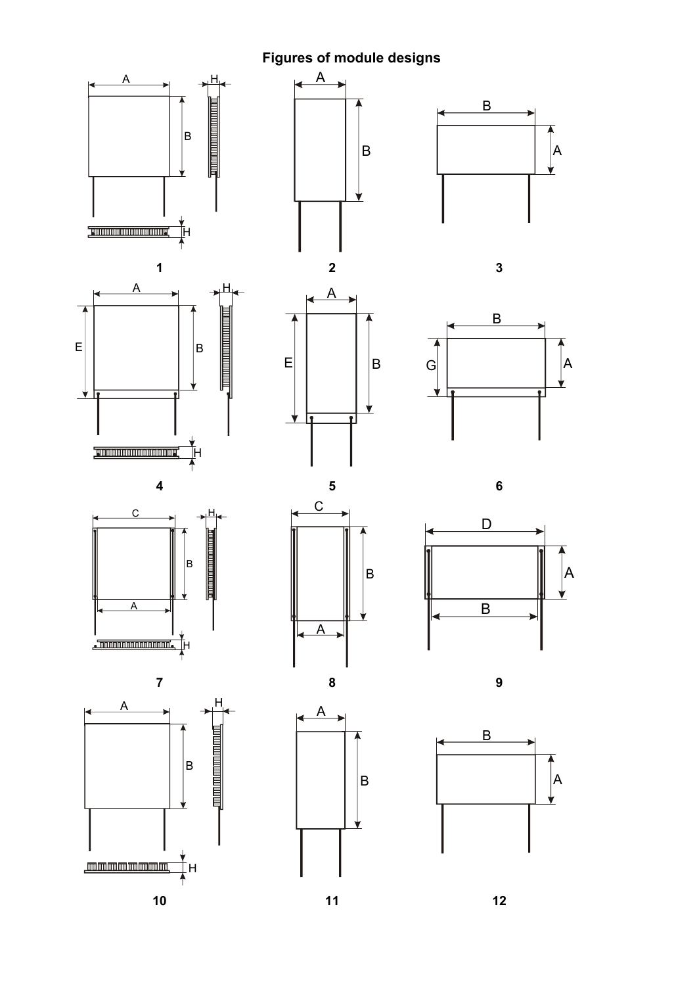**Figures of module designs** 

¥

 $\vert$ B

⊻

 $\overline{\blacktriangle}$ 























 $\vert$ B

⊻







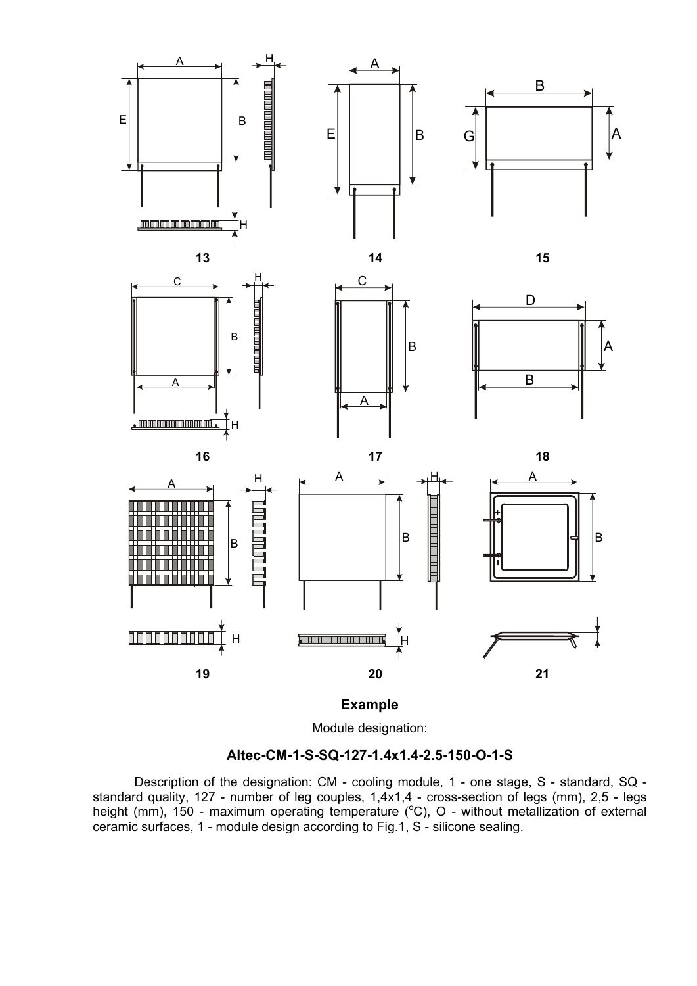

**Example** 

Module designation:

## **Altec-CM-1-S-SQ-127-1.4х1.4-2.5-150-O-1-S**

Description of the designation: СМ - cooling module, 1 - one stage, S - standard, SQ standard quality, 127 - number of leg couples, 1,4x1,4 - cross-section of legs (mm), 2,5 - legs height (mm), 150 - maximum operating temperature (°C), O - without metallization of external ceramic surfaces, 1 - module design according to Fig.1, S - silicone sealing.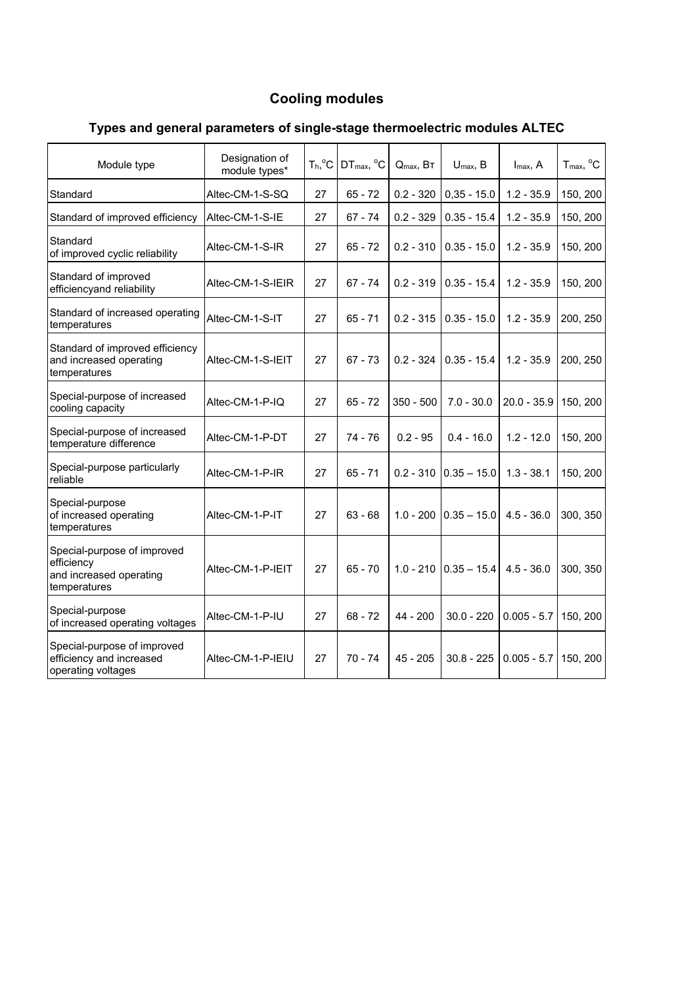# **Cooling modules**

| Module type                                                                          | Designation of<br>module types* | $T_h$ <sup>o</sup> C | $DT_{max}$ , $°C$ | $Q_{\text{max}}$ , BT | $U_{\text{max}}$ , B | $I_{\text{max}}$ , A | $T_{max}$ , $^{\circ}C$ |
|--------------------------------------------------------------------------------------|---------------------------------|----------------------|-------------------|-----------------------|----------------------|----------------------|-------------------------|
| Standard                                                                             | Altec-CM-1-S-SQ                 | 27                   | $65 - 72$         | $0.2 - 320$           | $0,35 - 15.0$        | $1.2 - 35.9$         | 150, 200                |
| Standard of improved efficiency                                                      | Altec-CM-1-S-IE                 | 27                   | $67 - 74$         | $0.2 - 329$           | $0.35 - 15.4$        | $1.2 - 35.9$         | 150, 200                |
| Standard<br>of improved cyclic reliability                                           | Altec-CM-1-S-IR                 | 27                   | $65 - 72$         | $0.2 - 310$           | $0.35 - 15.0$        | $1.2 - 35.9$         | 150, 200                |
| Standard of improved<br>efficiencyand reliability                                    | Altec-CM-1-S-IEIR               | 27                   | 67 - 74           | $0.2 - 319$           | $0.35 - 15.4$        | $1.2 - 35.9$         | 150, 200                |
| Standard of increased operating<br>temperatures                                      | Altec-CM-1-S-IT                 | 27                   | $65 - 71$         | $0.2 - 315$           | $0.35 - 15.0$        | $1.2 - 35.9$         | 200, 250                |
| Standard of improved efficiency<br>and increased operating<br>temperatures           | Altec-CM-1-S-IEIT               | 27                   | $67 - 73$         | $0.2 - 324$           | $0.35 - 15.4$        | $1.2 - 35.9$         | 200, 250                |
| Special-purpose of increased<br>cooling capacity                                     | Altec-CM-1-P-IQ                 | 27                   | $65 - 72$         | $350 - 500$           | $7.0 - 30.0$         | $20.0 - 35.9$        | 150, 200                |
| Special-purpose of increased<br>temperature difference                               | Altec-CM-1-P-DT                 | 27                   | 74 - 76           | $0.2 - 95$            | $0.4 - 16.0$         | $1.2 - 12.0$         | 150, 200                |
| Special-purpose particularly<br>reliable                                             | Altec-CM-1-P-IR                 | 27                   | $65 - 71$         | $0.2 - 310$           | $0.35 - 15.0$        | $1.3 - 38.1$         | 150, 200                |
| Special-purpose<br>of increased operating<br>temperatures                            | Altec-CM-1-P-IT                 | 27                   | $63 - 68$         | $1.0 - 200$           | $0.35 - 15.0$        | $4.5 - 36.0$         | 300, 350                |
| Special-purpose of improved<br>efficiency<br>and increased operating<br>temperatures | Altec-CM-1-P-IEIT               | 27                   | $65 - 70$         | $1.0 - 210$           | $0.35 - 15.4$        | $4.5 - 36.0$         | 300, 350                |
| Special-purpose<br>of increased operating voltages                                   | Altec-CM-1-P-IU                 | 27                   | $68 - 72$         | 44 - 200              | $30.0 - 220$         | $0.005 - 5.7$        | 150, 200                |
| Special-purpose of improved<br>efficiency and increased<br>operating voltages        | Altec-CM-1-P-IEIU               | 27                   | $70 - 74$         | 45 - 205              | $30.8 - 225$         | $0.005 - 5.7$        | 150, 200                |

# **Types and general parameters of single-stage thermoelectric modules ALTEC**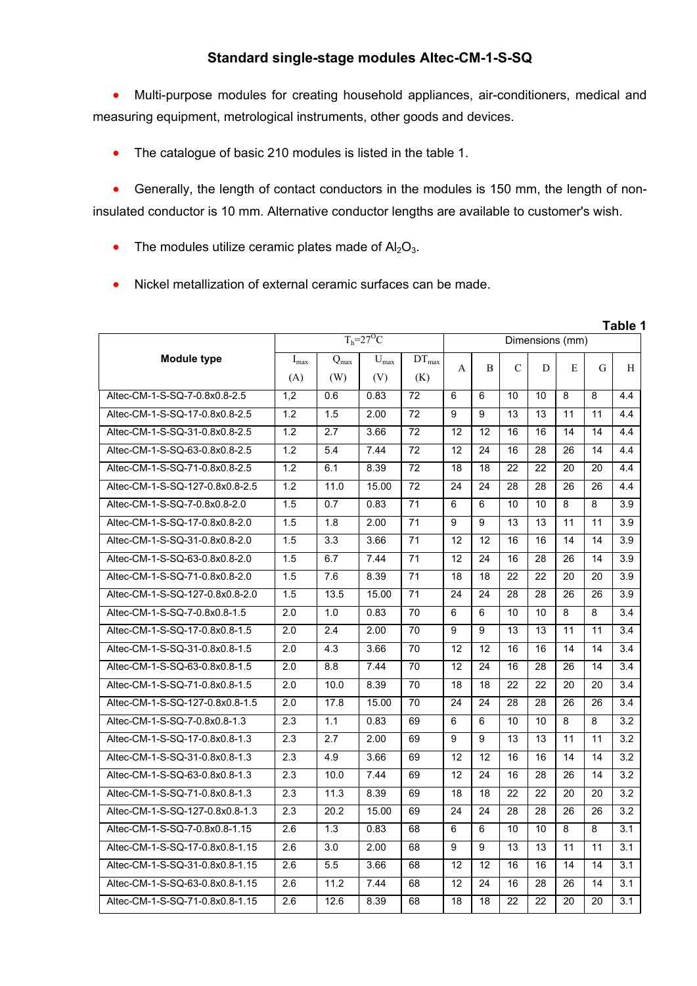## **Standard single-stage modules Altec-CM-1-S-SQ**

 Multi-purpose modules for creating household appliances, air-conditioners, medical and measuring equipment, metrological instruments, other goods and devices.

• The catalogue of basic 210 modules is listed in the table 1.

 Generally, the length of contact conductors in the modules is 150 mm, the length of noninsulated conductor is 10 mm. Alternative conductor lengths are available to customer's wish.

- The modules utilize ceramic plates made of  $Al_2O_3$ .
- Nickel metallization of external ceramic surfaces can be made.

|                                 | $T_h = 27$ <sup>O</sup> C |                  |           |                 | Dimensions (mm) |    |               |    |                 |                |     |
|---------------------------------|---------------------------|------------------|-----------|-----------------|-----------------|----|---------------|----|-----------------|----------------|-----|
| <b>Module type</b>              | $I_{max}$                 | $Q_{max}$        | $U_{max}$ | $DT_{max}$      |                 | B  | $\mathcal{C}$ |    | E               | G              |     |
|                                 | (A)                       | (W)              | (V)       | (K)             | A               |    |               | D  |                 |                | H   |
| Altec-CM-1-S-SQ-7-0.8x0.8-2.5   | 1,2                       | 0.6              | 0.83      | $\overline{72}$ | 6               | 6  | 10            | 10 | 8               | 8              | 4.4 |
| Altec-CM-1-S-SQ-17-0.8x0.8-2.5  | 1.2                       | 1.5              | 2.00      | $\overline{72}$ | 9               | 9  | 13            | 13 | 11              | 11             | 4.4 |
| Altec-CM-1-S-SQ-31-0.8x0.8-2.5  | 1.2                       | 2.7              | 3.66      | 72              | 12              | 12 | 16            | 16 | 14              | 14             | 4.4 |
| Altec-CM-1-S-SQ-63-0.8x0.8-2.5  | 1.2                       | 5.4              | 7.44      | 72              | 12              | 24 | 16            | 28 | 26              | 14             | 4.4 |
| Altec-CM-1-S-SQ-71-0.8x0.8-2.5  | 1.2                       | 6.1              | 8.39      | $\overline{72}$ | 18              | 18 | 22            | 22 | 20              | 20             | 4.4 |
| Altec-CM-1-S-SQ-127-0.8x0.8-2.5 | 1.2                       | 11.0             | 15.00     | 72              | 24              | 24 | 28            | 28 | 26              | 26             | 4.4 |
| Altec-CM-1-S-SQ-7-0.8x0.8-2.0   | 1.5                       | 0.7              | 0.83      | $\overline{71}$ | 6               | 6  | 10            | 10 | $\overline{8}$  | $\overline{8}$ | 3.9 |
| Altec-CM-1-S-SQ-17-0.8x0.8-2.0  | 1.5                       | 1.8              | 2.00      | $\overline{71}$ | 9               | 9  | 13            | 13 | 11              | 11             | 3.9 |
| Altec-CM-1-S-SQ-31-0.8x0.8-2.0  | 1.5                       | 3.3              | 3.66      | 71              | 12              | 12 | 16            | 16 | 14              | 14             | 3.9 |
| Altec-CM-1-S-SQ-63-0.8x0.8-2.0  | 1.5                       | 6.7              | 7.44      | $\overline{71}$ | 12              | 24 | 16            | 28 | 26              | 14             | 3.9 |
| Altec-CM-1-S-SQ-71-0.8x0.8-2.0  | 1.5                       | 7.6              | 8.39      | 71              | 18              | 18 | 22            | 22 | 20              | 20             | 3.9 |
| Altec-CM-1-S-SQ-127-0.8x0.8-2.0 | 1.5                       | 13.5             | 15.00     | $\overline{71}$ | 24              | 24 | 28            | 28 | 26              | 26             | 3.9 |
| Altec-CM-1-S-SQ-7-0.8x0.8-1.5   | 2.0                       | 1.0              | 0.83      | 70              | 6               | 6  | 10            | 10 | 8               | 8              | 3.4 |
| Altec-CM-1-S-SQ-17-0.8x0.8-1.5  | 2.0                       | 2.4              | 2.00      | 70              | 9               | 9  | 13            | 13 | 11              | 11             | 3.4 |
| Altec-CM-1-S-SQ-31-0.8x0.8-1.5  | $\overline{2.0}$          | 4.3              | 3.66      | 70              | 12              | 12 | 16            | 16 | 14              | 14             | 3.4 |
| Altec-CM-1-S-SQ-63-0.8x0.8-1.5  | $\overline{2.0}$          | 8.8              | 7.44      | 70              | 12              | 24 | 16            | 28 | 26              | 14             | 3.4 |
| Altec-CM-1-S-SQ-71-0.8x0.8-1.5  | 2.0                       | 10.0             | 8.39      | 70              | 18              | 18 | 22            | 22 | $\overline{20}$ | 20             | 3.4 |
| Altec-CM-1-S-SQ-127-0.8x0.8-1.5 | 2.0                       | 17.8             | 15.00     | $\overline{70}$ | 24              | 24 | 28            | 28 | 26              | 26             | 3.4 |
| Altec-CM-1-S-SQ-7-0.8x0.8-1.3   | 2.3                       | 1.1              | 0.83      | 69              | 6               | 6  | 10            | 10 | 8               | 8              | 3.2 |
| Altec-CM-1-S-SQ-17-0.8x0.8-1.3  | $\overline{2.3}$          | 2.7              | 2.00      | 69              | 9               | 9  | 13            | 13 | 11              | 11             | 3.2 |
| Altec-CM-1-S-SQ-31-0.8x0.8-1.3  | 2.3                       | 4.9              | 3.66      | 69              | 12              | 12 | 16            | 16 | 14              | 14             | 3.2 |
| Altec-CM-1-S-SQ-63-0.8x0.8-1.3  | $\overline{2.3}$          | 10.0             | 7.44      | 69              | 12              | 24 | 16            | 28 | 26              | 14             | 3.2 |
| Altec-CM-1-S-SQ-71-0.8x0.8-1.3  | 2.3                       | 11.3             | 8.39      | 69              | 18              | 18 | 22            | 22 | 20              | 20             | 3.2 |
| Altec-CM-1-S-SQ-127-0.8x0.8-1.3 | 2.3                       | 20.2             | 15.00     | 69              | 24              | 24 | 28            | 28 | 26              | 26             | 3.2 |
| Altec-CM-1-S-SQ-7-0.8x0.8-1.15  | 2.6                       | 1.3              | 0.83      | 68              | 6               | 6  | 10            | 10 | 8               | 8              | 3.1 |
| Altec-CM-1-S-SQ-17-0.8x0.8-1.15 | $\overline{2.6}$          | 3.0              | 2.00      | 68              | 9               | 9  | 13            | 13 | 11              | 11             | 3.1 |
| Altec-CM-1-S-SQ-31-0.8x0.8-1.15 | 2.6                       | 5.5              | 3.66      | 68              | 12              | 12 | 16            | 16 | 14              | 14             | 3.1 |
| Altec-CM-1-S-SQ-63-0.8x0.8-1.15 | 2.6                       | $\frac{11.2}{2}$ | 7.44      | 68              | 12              | 24 | 16            | 28 | 26              | 14             | 3.1 |
| Altec-CM-1-S-SQ-71-0.8x0.8-1.15 | 2.6                       | 12.6             | 8.39      | 68              | 18              | 18 | 22            | 22 | 20              | 20             | 3.1 |

**Table 1**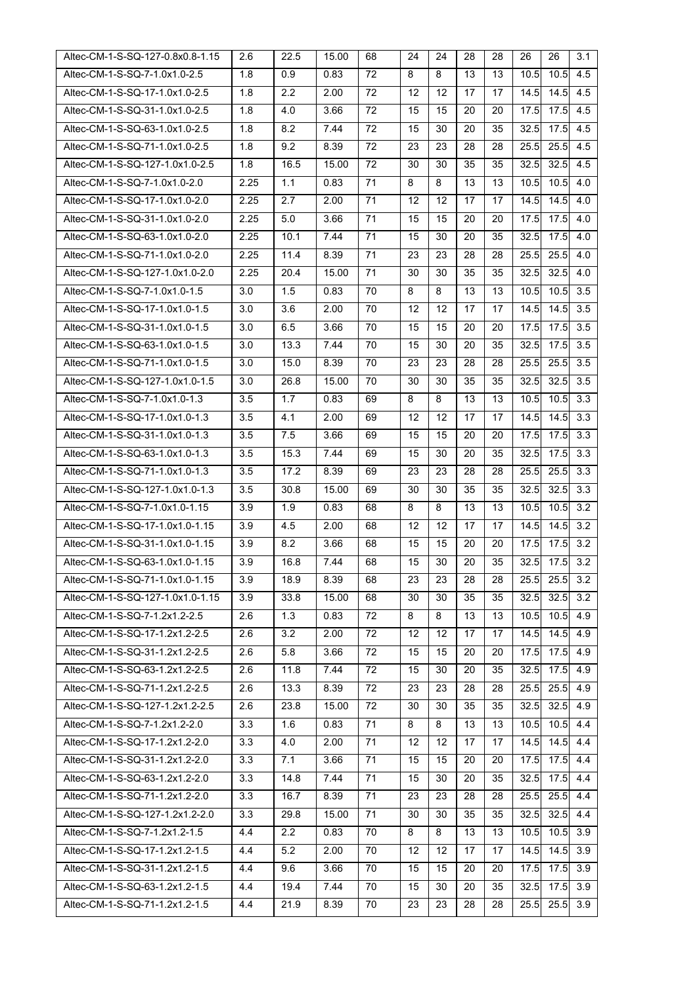| Altec-CM-1-S-SQ-127-0.8x0.8-1.15 | 2.6  | 22.5 | 15.00 | 68 | 24                | 24 | 28 | 28 | 26   | 26   | 3.1 |
|----------------------------------|------|------|-------|----|-------------------|----|----|----|------|------|-----|
| Altec-CM-1-S-SQ-7-1.0x1.0-2.5    | 1.8  | 0.9  | 0.83  | 72 | 8                 | 8  | 13 | 13 | 10.5 | 10.5 | 4.5 |
| Altec-CM-1-S-SQ-17-1.0x1.0-2.5   | 1.8  | 2.2  | 2.00  | 72 | 12                | 12 | 17 | 17 | 14.5 | 14.5 | 4.5 |
| Altec-CM-1-S-SQ-31-1.0x1.0-2.5   | 1.8  | 4.0  | 3.66  | 72 | 15                | 15 | 20 | 20 | 17.5 | 17.5 | 4.5 |
| Altec-CM-1-S-SQ-63-1.0x1.0-2.5   | 1.8  | 8.2  | 7.44  | 72 | 15                | 30 | 20 | 35 | 32.5 | 17.5 | 4.5 |
| Altec-CM-1-S-SQ-71-1.0x1.0-2.5   | 1.8  | 9.2  | 8.39  | 72 | 23                | 23 | 28 | 28 | 25.5 | 25.5 | 4.5 |
| Altec-CM-1-S-SQ-127-1.0x1.0-2.5  | 1.8  | 16.5 | 15.00 | 72 | 30                | 30 | 35 | 35 | 32.5 | 32.5 | 4.5 |
| Altec-CM-1-S-SQ-7-1.0x1.0-2.0    | 2.25 | 1.1  | 0.83  | 71 | 8                 | 8  | 13 | 13 | 10.5 | 10.5 | 4.0 |
| Altec-CM-1-S-SQ-17-1.0x1.0-2.0   | 2.25 | 2.7  | 2.00  | 71 | 12                | 12 | 17 | 17 | 14.5 | 14.5 | 4.0 |
| Altec-CM-1-S-SQ-31-1.0x1.0-2.0   | 2.25 | 5.0  | 3.66  | 71 | 15                | 15 | 20 | 20 | 17.5 | 17.5 | 4.0 |
| Altec-CM-1-S-SQ-63-1.0x1.0-2.0   | 2.25 | 10.1 | 7.44  | 71 | 15                | 30 | 20 | 35 | 32.5 | 17.5 | 4.0 |
| Altec-CM-1-S-SQ-71-1.0x1.0-2.0   | 2.25 | 11.4 | 8.39  | 71 | 23                | 23 | 28 | 28 | 25.5 | 25.5 | 4.0 |
| Altec-CM-1-S-SQ-127-1.0x1.0-2.0  | 2.25 | 20.4 | 15.00 | 71 | 30                | 30 | 35 | 35 | 32.5 | 32.5 | 4.0 |
| Altec-CM-1-S-SQ-7-1.0x1.0-1.5    | 3.0  | 1.5  | 0.83  | 70 | 8                 | 8  | 13 | 13 | 10.5 | 10.5 | 3.5 |
| Altec-CM-1-S-SQ-17-1.0x1.0-1.5   | 3.0  | 3.6  | 2.00  | 70 | 12                | 12 | 17 | 17 | 14.5 | 14.5 | 3.5 |
| Altec-CM-1-S-SQ-31-1.0x1.0-1.5   | 3.0  | 6.5  | 3.66  | 70 | 15                | 15 | 20 | 20 | 17.5 | 17.5 | 3.5 |
| Altec-CM-1-S-SQ-63-1.0x1.0-1.5   | 3.0  | 13.3 | 7.44  | 70 | 15                | 30 | 20 | 35 | 32.5 | 17.5 | 3.5 |
| Altec-CM-1-S-SQ-71-1.0x1.0-1.5   | 3.0  | 15.0 | 8.39  | 70 | 23                | 23 | 28 | 28 | 25.5 | 25.5 | 3.5 |
| Altec-CM-1-S-SQ-127-1.0x1.0-1.5  | 3.0  | 26.8 | 15.00 | 70 | 30                | 30 | 35 | 35 | 32.5 | 32.5 | 3.5 |
| Altec-CM-1-S-SQ-7-1.0x1.0-1.3    | 3.5  | 1.7  | 0.83  | 69 | 8                 | 8  | 13 | 13 | 10.5 | 10.5 | 3.3 |
| Altec-CM-1-S-SQ-17-1.0x1.0-1.3   | 3.5  | 4.1  | 2.00  | 69 | 12                | 12 | 17 | 17 | 14.5 | 14.5 | 3.3 |
| Altec-CM-1-S-SQ-31-1.0x1.0-1.3   | 3.5  | 7.5  | 3.66  | 69 | 15                | 15 | 20 | 20 | 17.5 | 17.5 | 3.3 |
| Altec-CM-1-S-SQ-63-1.0x1.0-1.3   | 3.5  | 15.3 | 7.44  | 69 | 15                | 30 | 20 | 35 | 32.5 | 17.5 | 3.3 |
| Altec-CM-1-S-SQ-71-1.0x1.0-1.3   | 3.5  | 17.2 | 8.39  | 69 | 23                | 23 | 28 | 28 | 25.5 | 25.5 | 3.3 |
| Altec-CM-1-S-SQ-127-1.0x1.0-1.3  | 3.5  | 30.8 | 15.00 | 69 | 30                | 30 | 35 | 35 | 32.5 | 32.5 | 3.3 |
| Altec-CM-1-S-SQ-7-1.0x1.0-1.15   | 3.9  | 1.9  | 0.83  | 68 | 8                 | 8  | 13 | 13 | 10.5 | 10.5 | 3.2 |
| Altec-CM-1-S-SQ-17-1.0x1.0-1.15  | 3.9  | 4.5  | 2.00  | 68 | 12                | 12 | 17 | 17 | 14.5 | 14.5 | 3.2 |
| Altec-CM-1-S-SQ-31-1.0x1.0-1.15  | 3.9  | 8.2  | 3.66  | 68 | 15                | 15 | 20 | 20 | 17.5 | 17.5 | 3.2 |
| Altec-CM-1-S-SQ-63-1.0x1.0-1.15  | 3.9  | 16.8 | 7.44  | 68 | 15                | 30 | 20 | 35 | 32.5 | 17.5 | 3.2 |
| Altec-CM-1-S-SQ-71-1.0x1.0-1.15  | 3.9  | 18.9 | 8.39  | 68 | 23                | 23 | 28 | 28 | 25.5 | 25.5 | 3.2 |
| Altec-CM-1-S-SQ-127-1.0x1.0-1.15 | 3.9  | 33.8 | 15.00 | 68 | 30                | 30 | 35 | 35 | 32.5 | 32.5 | 3.2 |
| Altec-CM-1-S-SQ-7-1.2x1.2-2.5    | 2.6  | 1.3  | 0.83  | 72 | 8                 | 8  | 13 | 13 | 10.5 | 10.5 | 4.9 |
| Altec-CM-1-S-SQ-17-1.2x1.2-2.5   | 2.6  | 3.2  | 2.00  | 72 | 12                | 12 | 17 | 17 | 14.5 | 14.5 | 4.9 |
| Altec-CM-1-S-SQ-31-1.2x1.2-2.5   | 2.6  | 5.8  | 3.66  | 72 | 15                | 15 | 20 | 20 | 17.5 | 17.5 | 4.9 |
| Altec-CM-1-S-SQ-63-1.2x1.2-2.5   | 2.6  | 11.8 | 7.44  | 72 | 15                | 30 | 20 | 35 | 32.5 | 17.5 | 4.9 |
| Altec-CM-1-S-SQ-71-1.2x1.2-2.5   | 2.6  | 13.3 | 8.39  | 72 | 23                | 23 | 28 | 28 | 25.5 | 25.5 | 4.9 |
| Altec-CM-1-S-SQ-127-1.2x1.2-2.5  | 2.6  | 23.8 | 15.00 | 72 | 30                | 30 | 35 | 35 | 32.5 | 32.5 | 4.9 |
| Altec-CM-1-S-SQ-7-1.2x1.2-2.0    | 3.3  | 1.6  | 0.83  | 71 | 8                 | 8  | 13 | 13 | 10.5 | 10.5 | 4.4 |
| Altec-CM-1-S-SQ-17-1.2x1.2-2.0   | 3.3  | 4.0  | 2.00  | 71 | 12                | 12 | 17 | 17 | 14.5 | 14.5 | 4.4 |
| Altec-CM-1-S-SQ-31-1.2x1.2-2.0   | 3.3  | 7.1  | 3.66  | 71 | 15                | 15 | 20 | 20 | 17.5 | 17.5 | 4.4 |
| Altec-CM-1-S-SQ-63-1.2x1.2-2.0   | 3.3  | 14.8 | 7.44  | 71 | 15                | 30 | 20 | 35 | 32.5 | 17.5 | 4.4 |
| Altec-CM-1-S-SQ-71-1.2x1.2-2.0   | 3.3  | 16.7 | 8.39  | 71 | 23                | 23 | 28 | 28 | 25.5 | 25.5 | 4.4 |
| Altec-CM-1-S-SQ-127-1.2x1.2-2.0  | 3.3  | 29.8 | 15.00 | 71 | 30                | 30 | 35 | 35 | 32.5 | 32.5 | 4.4 |
| Altec-CM-1-S-SQ-7-1.2x1.2-1.5    | 4.4  | 2.2  | 0.83  | 70 | 8                 | 8  | 13 | 13 | 10.5 | 10.5 | 3.9 |
| Altec-CM-1-S-SQ-17-1.2x1.2-1.5   | 4.4  | 5.2  | 2.00  | 70 | $12 \overline{ }$ | 12 | 17 | 17 | 14.5 | 14.5 | 3.9 |
| Altec-CM-1-S-SQ-31-1.2x1.2-1.5   | 4.4  | 9.6  | 3.66  | 70 | 15                | 15 | 20 | 20 | 17.5 | 17.5 | 3.9 |
| Altec-CM-1-S-SQ-63-1.2x1.2-1.5   | 4.4  | 19.4 | 7.44  | 70 | 15                | 30 | 20 | 35 | 32.5 | 17.5 | 3.9 |
| Altec-CM-1-S-SQ-71-1.2x1.2-1.5   | 4.4  | 21.9 | 8.39  | 70 | 23                | 23 | 28 | 28 | 25.5 | 25.5 | 3.9 |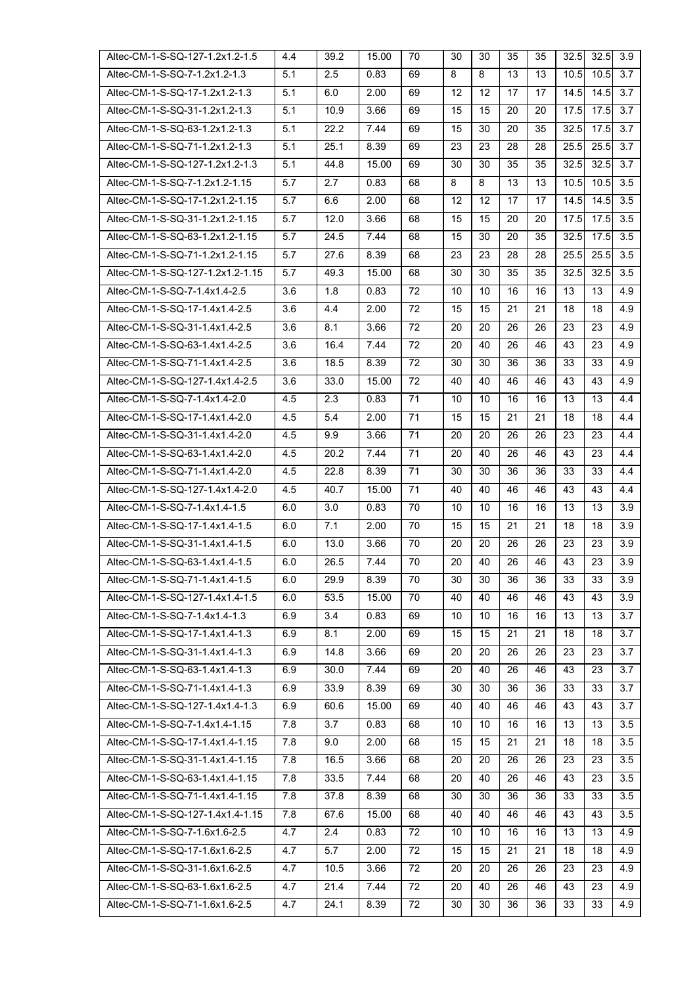| Altec-CM-1-S-SQ-127-1.2x1.2-1.5  | 4.4 | 39.2 | 15.00 | 70 | 30 | 30 | 35 | 35 | 32.5 | 32.5 | 3.9 |
|----------------------------------|-----|------|-------|----|----|----|----|----|------|------|-----|
| Altec-CM-1-S-SQ-7-1.2x1.2-1.3    | 5.1 | 2.5  | 0.83  | 69 | 8  | 8  | 13 | 13 | 10.5 | 10.5 | 3.7 |
| Altec-CM-1-S-SQ-17-1.2x1.2-1.3   | 5.1 | 6.0  | 2.00  | 69 | 12 | 12 | 17 | 17 | 14.5 | 14.5 | 3.7 |
| Altec-CM-1-S-SQ-31-1.2x1.2-1.3   | 5.1 | 10.9 | 3.66  | 69 | 15 | 15 | 20 | 20 | 17.5 | 17.5 | 3.7 |
| Altec-CM-1-S-SQ-63-1.2x1.2-1.3   | 5.1 | 22.2 | 7.44  | 69 | 15 | 30 | 20 | 35 | 32.5 | 17.5 | 3.7 |
| Altec-CM-1-S-SQ-71-1.2x1.2-1.3   | 5.1 | 25.1 | 8.39  | 69 | 23 | 23 | 28 | 28 | 25.5 | 25.5 | 3.7 |
| Altec-CM-1-S-SQ-127-1.2x1.2-1.3  | 5.1 | 44.8 | 15.00 | 69 | 30 | 30 | 35 | 35 | 32.5 | 32.5 | 3.7 |
| Altec-CM-1-S-SQ-7-1.2x1.2-1.15   | 5.7 | 2.7  | 0.83  | 68 | 8  | 8  | 13 | 13 | 10.5 | 10.5 | 3.5 |
| Altec-CM-1-S-SQ-17-1.2x1.2-1.15  | 5.7 | 6.6  | 2.00  | 68 | 12 | 12 | 17 | 17 | 14.5 | 14.5 | 3.5 |
| Altec-CM-1-S-SQ-31-1.2x1.2-1.15  | 5.7 | 12.0 | 3.66  | 68 | 15 | 15 | 20 | 20 | 17.5 | 17.5 | 3.5 |
| Altec-CM-1-S-SQ-63-1.2x1.2-1.15  | 5.7 | 24.5 | 7.44  | 68 | 15 | 30 | 20 | 35 | 32.5 | 17.5 | 3.5 |
| Altec-CM-1-S-SQ-71-1.2x1.2-1.15  | 5.7 | 27.6 | 8.39  | 68 | 23 | 23 | 28 | 28 | 25.5 | 25.5 | 3.5 |
| Altec-CM-1-S-SQ-127-1.2x1.2-1.15 | 5.7 | 49.3 | 15.00 | 68 | 30 | 30 | 35 | 35 | 32.5 | 32.5 | 3.5 |
| Altec-CM-1-S-SQ-7-1.4x1.4-2.5    | 3.6 | 1.8  | 0.83  | 72 | 10 | 10 | 16 | 16 | 13   | 13   | 4.9 |
| Altec-CM-1-S-SQ-17-1.4x1.4-2.5   | 3.6 | 4.4  | 2.00  | 72 | 15 | 15 | 21 | 21 | 18   | 18   | 4.9 |
| Altec-CM-1-S-SQ-31-1.4x1.4-2.5   | 3.6 | 8.1  | 3.66  | 72 | 20 | 20 | 26 | 26 | 23   | 23   | 4.9 |
| Altec-CM-1-S-SQ-63-1.4x1.4-2.5   | 3.6 | 16.4 | 7.44  | 72 | 20 | 40 | 26 | 46 | 43   | 23   | 4.9 |
| Altec-CM-1-S-SQ-71-1.4x1.4-2.5   | 3.6 | 18.5 | 8.39  | 72 | 30 | 30 | 36 | 36 | 33   | 33   | 4.9 |
| Altec-CM-1-S-SQ-127-1.4x1.4-2.5  | 3.6 | 33.0 | 15.00 | 72 | 40 | 40 | 46 | 46 | 43   | 43   | 4.9 |
| Altec-CM-1-S-SQ-7-1.4x1.4-2.0    | 4.5 | 2.3  | 0.83  | 71 | 10 | 10 | 16 | 16 | 13   | 13   | 4.4 |
| Altec-CM-1-S-SQ-17-1.4x1.4-2.0   | 4.5 | 5.4  | 2.00  | 71 | 15 | 15 | 21 | 21 | 18   | 18   | 4.4 |
| Altec-CM-1-S-SQ-31-1.4x1.4-2.0   | 4.5 | 9.9  | 3.66  | 71 | 20 | 20 | 26 | 26 | 23   | 23   | 4.4 |
| Altec-CM-1-S-SQ-63-1.4x1.4-2.0   | 4.5 | 20.2 | 7.44  | 71 | 20 | 40 | 26 | 46 | 43   | 23   | 4.4 |
| Altec-CM-1-S-SQ-71-1.4x1.4-2.0   | 4.5 | 22.8 | 8.39  | 71 | 30 | 30 | 36 | 36 | 33   | 33   | 4.4 |
| Altec-CM-1-S-SQ-127-1.4x1.4-2.0  | 4.5 | 40.7 | 15.00 | 71 | 40 | 40 | 46 | 46 | 43   | 43   | 4.4 |
| Altec-CM-1-S-SQ-7-1.4x1.4-1.5    | 6.0 | 3.0  | 0.83  | 70 | 10 | 10 | 16 | 16 | 13   | 13   | 3.9 |
| Altec-CM-1-S-SQ-17-1.4x1.4-1.5   | 6.0 | 7.1  | 2.00  | 70 | 15 | 15 | 21 | 21 | 18   | 18   | 3.9 |
| Altec-CM-1-S-SQ-31-1.4x1.4-1.5   | 6.0 | 13.0 | 3.66  | 70 | 20 | 20 | 26 | 26 | 23   | 23   | 3.9 |
| Altec-CM-1-S-SQ-63-1.4x1.4-1.5   | 6.0 | 26.5 | 7.44  | 70 | 20 | 40 | 26 | 46 | 43   | 23   | 3.9 |
| Altec-CM-1-S-SQ-71-1.4x1.4-1.5   | 6.0 | 29.9 | 8.39  | 70 | 30 | 30 | 36 | 36 | 33   | 33   | 3.9 |
| Altec-CM-1-S-SQ-127-1.4x1.4-1.5  | 6.0 | 53.5 | 15.00 | 70 | 40 | 40 | 46 | 46 | 43   | 43   | 3.9 |
| Altec-CM-1-S-SQ-7-1.4x1.4-1.3    | 6.9 | 3.4  | 0.83  | 69 | 10 | 10 | 16 | 16 | 13   | 13   | 3.7 |
| Altec-CM-1-S-SQ-17-1.4x1.4-1.3   | 6.9 | 8.1  | 2.00  | 69 | 15 | 15 | 21 | 21 | 18   | 18   | 3.7 |
| Altec-CM-1-S-SQ-31-1.4x1.4-1.3   | 6.9 | 14.8 | 3.66  | 69 | 20 | 20 | 26 | 26 | 23   | 23   | 3.7 |
| Altec-CM-1-S-SQ-63-1.4x1.4-1.3   | 6.9 | 30.0 | 7.44  | 69 | 20 | 40 | 26 | 46 | 43   | 23   | 3.7 |
| Altec-CM-1-S-SQ-71-1.4x1.4-1.3   | 6.9 | 33.9 | 8.39  | 69 | 30 | 30 | 36 | 36 | 33   | 33   | 3.7 |
| Altec-CM-1-S-SQ-127-1.4x1.4-1.3  | 6.9 | 60.6 | 15.00 | 69 | 40 | 40 | 46 | 46 | 43   | 43   | 3.7 |
| Altec-CM-1-S-SQ-7-1.4x1.4-1.15   | 7.8 | 3.7  | 0.83  | 68 | 10 | 10 | 16 | 16 | 13   | 13   | 3.5 |
| Altec-CM-1-S-SQ-17-1.4x1.4-1.15  | 7.8 | 9.0  | 2.00  | 68 | 15 | 15 | 21 | 21 | 18   | 18   | 3.5 |
| Altec-CM-1-S-SQ-31-1.4x1.4-1.15  | 7.8 | 16.5 | 3.66  | 68 | 20 | 20 | 26 | 26 | 23   | 23   | 3.5 |
| Altec-CM-1-S-SQ-63-1.4x1.4-1.15  | 7.8 | 33.5 | 7.44  | 68 | 20 | 40 | 26 | 46 | 43   | 23   | 3.5 |
| Altec-CM-1-S-SQ-71-1.4x1.4-1.15  | 7.8 | 37.8 | 8.39  | 68 | 30 | 30 | 36 | 36 | 33   | 33   | 3.5 |
| Altec-CM-1-S-SQ-127-1.4x1.4-1.15 | 7.8 | 67.6 | 15.00 | 68 | 40 | 40 | 46 | 46 | 43   | 43   | 3.5 |
| Altec-CM-1-S-SQ-7-1.6x1.6-2.5    | 4.7 | 2.4  | 0.83  | 72 | 10 | 10 | 16 | 16 | 13   | 13   | 4.9 |
| Altec-CM-1-S-SQ-17-1.6x1.6-2.5   | 4.7 | 5.7  | 2.00  | 72 | 15 | 15 | 21 | 21 | 18   | 18   | 4.9 |
| Altec-CM-1-S-SQ-31-1.6x1.6-2.5   | 4.7 | 10.5 | 3.66  | 72 | 20 | 20 | 26 | 26 | 23   | 23   | 4.9 |
| Altec-CM-1-S-SQ-63-1.6x1.6-2.5   | 4.7 | 21.4 | 7.44  | 72 | 20 | 40 | 26 | 46 | 43   | 23   | 4.9 |
| Altec-CM-1-S-SQ-71-1.6x1.6-2.5   | 4.7 | 24.1 | 8.39  | 72 | 30 | 30 | 36 | 36 | 33   | 33   | 4.9 |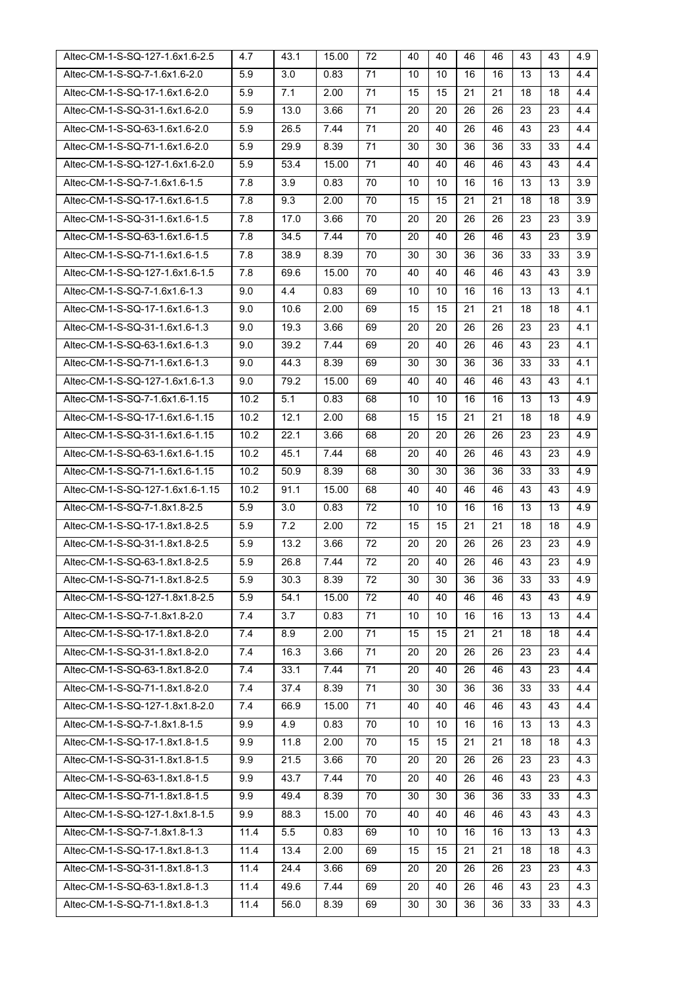| Altec-CM-1-S-SQ-127-1.6x1.6-2.5                                  | 4.7          | 43.1         | 15.00        | 72       | 40       | 40       | 46       | 46       | 43       | 43       | 4.9        |
|------------------------------------------------------------------|--------------|--------------|--------------|----------|----------|----------|----------|----------|----------|----------|------------|
| Altec-CM-1-S-SQ-7-1.6x1.6-2.0                                    | 5.9          | 3.0          | 0.83         | 71       | 10       | 10       | 16       | 16       | 13       | 13       | 4.4        |
| Altec-CM-1-S-SQ-17-1.6x1.6-2.0                                   | 5.9          | 7.1          | 2.00         | 71       | 15       | 15       | 21       | 21       | 18       | 18       | 4.4        |
| Altec-CM-1-S-SQ-31-1.6x1.6-2.0                                   | 5.9          | 13.0         | 3.66         | 71       | 20       | 20       | 26       | 26       | 23       | 23       | 4.4        |
| Altec-CM-1-S-SQ-63-1.6x1.6-2.0                                   | 5.9          | 26.5         | 7.44         | 71       | 20       | 40       | 26       | 46       | 43       | 23       | 4.4        |
| Altec-CM-1-S-SQ-71-1.6x1.6-2.0                                   | 5.9          | 29.9         | 8.39         | 71       | 30       | 30       | 36       | 36       | 33       | 33       | 4.4        |
| Altec-CM-1-S-SQ-127-1.6x1.6-2.0                                  | 5.9          | 53.4         | 15.00        | 71       | 40       | 40       | 46       | 46       | 43       | 43       | 4.4        |
| Altec-CM-1-S-SQ-7-1.6x1.6-1.5                                    | 7.8          | 3.9          | 0.83         | 70       | 10       | 10       | 16       | 16       | 13       | 13       | 3.9        |
| Altec-CM-1-S-SQ-17-1.6x1.6-1.5                                   | 7.8          | 9.3          | 2.00         | 70       | 15       | 15       | 21       | 21       | 18       | 18       | 3.9        |
| Altec-CM-1-S-SQ-31-1.6x1.6-1.5                                   | 7.8          | 17.0         | 3.66         | 70       | 20       | 20       | 26       | 26       | 23       | 23       | 3.9        |
| Altec-CM-1-S-SQ-63-1.6x1.6-1.5                                   | 7.8          | 34.5         | 7.44         | 70       | 20       | 40       | 26       | 46       | 43       | 23       | 3.9        |
| Altec-CM-1-S-SQ-71-1.6x1.6-1.5                                   | 7.8          | 38.9         | 8.39         | 70       | 30       | 30       | 36       | 36       | 33       | 33       | 3.9        |
| Altec-CM-1-S-SQ-127-1.6x1.6-1.5                                  | 7.8          | 69.6         | 15.00        | 70       | 40       | 40       | 46       | 46       | 43       | 43       | 3.9        |
| Altec-CM-1-S-SQ-7-1.6x1.6-1.3                                    | 9.0          | 4.4          | 0.83         | 69       | 10       | 10       | 16       | 16       | 13       | 13       | 4.1        |
| Altec-CM-1-S-SQ-17-1.6x1.6-1.3                                   | 9.0          | 10.6         | 2.00         | 69       | 15       | 15       | 21       | 21       | 18       | 18       | 4.1        |
| Altec-CM-1-S-SQ-31-1.6x1.6-1.3                                   | 9.0          | 19.3         | 3.66         | 69       | 20       | 20       | 26       | 26       | 23       | 23       | 4.1        |
| Altec-CM-1-S-SQ-63-1.6x1.6-1.3                                   | 9.0          | 39.2         | 7.44         | 69       | 20       | 40       | 26       | 46       | 43       | 23       | 4.1        |
| Altec-CM-1-S-SQ-71-1.6x1.6-1.3                                   | 9.0          | 44.3         | 8.39         | 69       | 30       | 30       | 36       | 36       | 33       | 33       | 4.1        |
| Altec-CM-1-S-SQ-127-1.6x1.6-1.3                                  | 9.0          | 79.2         | 15.00        | 69       | 40       | 40       | 46       | 46       | 43       | 43       | 4.1        |
| Altec-CM-1-S-SQ-7-1.6x1.6-1.15                                   | 10.2         | 5.1          | 0.83         | 68       | 10       | 10       | 16       | 16       | 13       | 13       | 4.9        |
| Altec-CM-1-S-SQ-17-1.6x1.6-1.15                                  | 10.2         | 12.1         | 2.00         | 68       | 15       | 15       | 21       | 21       | 18       | 18       | 4.9        |
| Altec-CM-1-S-SQ-31-1.6x1.6-1.15                                  | 10.2         | 22.1         | 3.66         | 68       | 20       | 20       | 26       | 26       | 23       | 23       | 4.9        |
| Altec-CM-1-S-SQ-63-1.6x1.6-1.15                                  | 10.2         | 45.1         | 7.44         | 68       | 20       | 40       | 26       | 46       | 43       | 23       | 4.9        |
| Altec-CM-1-S-SQ-71-1.6x1.6-1.15                                  | 10.2         | 50.9         | 8.39         | 68       | 30       | 30       | 36       | 36       | 33       | 33       | 4.9        |
| Altec-CM-1-S-SQ-127-1.6x1.6-1.15                                 | 10.2         | 91.1         | 15.00        | 68       | 40       | 40       | 46       | 46       | 43       | 43       | 4.9        |
| Altec-CM-1-S-SQ-7-1.8x1.8-2.5                                    | 5.9          | 3.0          | 0.83         | 72       | 10       | 10       | 16       | 16       | 13       | 13       | 4.9        |
| Altec-CM-1-S-SQ-17-1.8x1.8-2.5                                   | 5.9          | 7.2          | 2.00         | 72       | 15       | 15       | 21       | 21       | 18       | 18       | 4.9        |
| Altec-CM-1-S-SQ-31-1.8x1.8-2.5                                   | 5.9          | 13.2         | 3.66         | 72       | 20       | 20       | 26       | 26       | 23       | 23       | 4.9        |
| Altec-CM-1-S-SQ-63-1.8x1.8-2.5                                   | 5.9          | 26.8         | 7.44         | 72       | 20       | 40       | 26       | 46       | 43       | 23       | 4.9        |
| Altec-CM-1-S-SQ-71-1.8x1.8-2.5                                   | 5.9          | 30.3         | 8.39         | 72       | 30       | 30       | 36       | 36       | 33       | 33       | 4.9        |
| Altec-CM-1-S-SQ-127-1.8x1.8-2.5                                  | 5.9          | 54.1         | 15.00        | 72       | 40       | 40       |          |          |          |          | 4.9        |
| Altec-CM-1-S-SQ-7-1.8x1.8-2.0                                    | 7.4          |              |              |          |          |          | 46       | 46       | 43       | 43       |            |
|                                                                  |              | 3.7          | 0.83         | 71       | 10       | 10       | 16       | 16       | 13       | 13       | 4.4        |
| Altec-CM-1-S-SQ-17-1.8x1.8-2.0                                   | 7.4          | 8.9          | 2.00         | 71       | 15       | 15       | 21       | 21       | 18       | 18       | 4.4        |
| Altec-CM-1-S-SQ-31-1.8x1.8-2.0                                   | 7.4          | 16.3         | 3.66         | 71       | 20       | 20       | 26       | 26       | 23       | 23       | 4.4        |
| Altec-CM-1-S-SQ-63-1.8x1.8-2.0                                   | 7.4          | 33.1         | 7.44         | 71       | 20       | 40       | 26       | 46       | 43       | 23       | 4.4        |
| Altec-CM-1-S-SQ-71-1.8x1.8-2.0                                   | 7.4          | 37.4         | 8.39         | 71       | 30       | 30       | 36       | 36       | 33       | 33       | 4.4        |
| Altec-CM-1-S-SQ-127-1.8x1.8-2.0                                  | 7.4          | 66.9         | 15.00        | 71       | 40       | 40       | 46       | 46       | 43       | 43       | 4.4        |
| Altec-CM-1-S-SQ-7-1.8x1.8-1.5                                    | 9.9          | 4.9          | 0.83         | 70       | 10       | 10       | 16       | 16       | 13       | 13       | 4.3        |
| Altec-CM-1-S-SQ-17-1.8x1.8-1.5                                   | 9.9          | 11.8         | 2.00         | 70       | 15       | 15       | 21       | 21       | 18       | 18       | 4.3        |
| Altec-CM-1-S-SQ-31-1.8x1.8-1.5                                   | 9.9          | 21.5         | 3.66         | 70       | 20       | 20       | 26       | 26       | 23       | 23       | 4.3        |
| Altec-CM-1-S-SQ-63-1.8x1.8-1.5                                   | 9.9          | 43.7         | 7.44         | 70       | 20       | 40       | 26       | 46       | 43       | 23       | 4.3        |
| Altec-CM-1-S-SQ-71-1.8x1.8-1.5                                   | 9.9          | 49.4         | 8.39         | 70       | 30       | 30       | 36       | 36       | 33       | 33       | 4.3        |
| Altec-CM-1-S-SQ-127-1.8x1.8-1.5                                  | 9.9          | 88.3         | 15.00        | 70       | 40       | 40       | 46       | 46       | 43       | 43       | 4.3        |
| Altec-CM-1-S-SQ-7-1.8x1.8-1.3                                    | 11.4         | 5.5          | 0.83         | 69       | 10       | 10       | 16       | 16       | 13       | 13       | 4.3        |
| Altec-CM-1-S-SQ-17-1.8x1.8-1.3                                   | 11.4         | 13.4         | 2.00         | 69       | 15       | 15       | 21       | 21       | 18       | 18       | 4.3        |
| Altec-CM-1-S-SQ-31-1.8x1.8-1.3                                   | 11.4         | 24.4         | 3.66         | 69       | 20       | 20       | 26       | 26       | 23       | 23       | 4.3        |
| Altec-CM-1-S-SQ-63-1.8x1.8-1.3<br>Altec-CM-1-S-SQ-71-1.8x1.8-1.3 | 11.4<br>11.4 | 49.6<br>56.0 | 7.44<br>8.39 | 69<br>69 | 20<br>30 | 40<br>30 | 26<br>36 | 46<br>36 | 43<br>33 | 23<br>33 | 4.3<br>4.3 |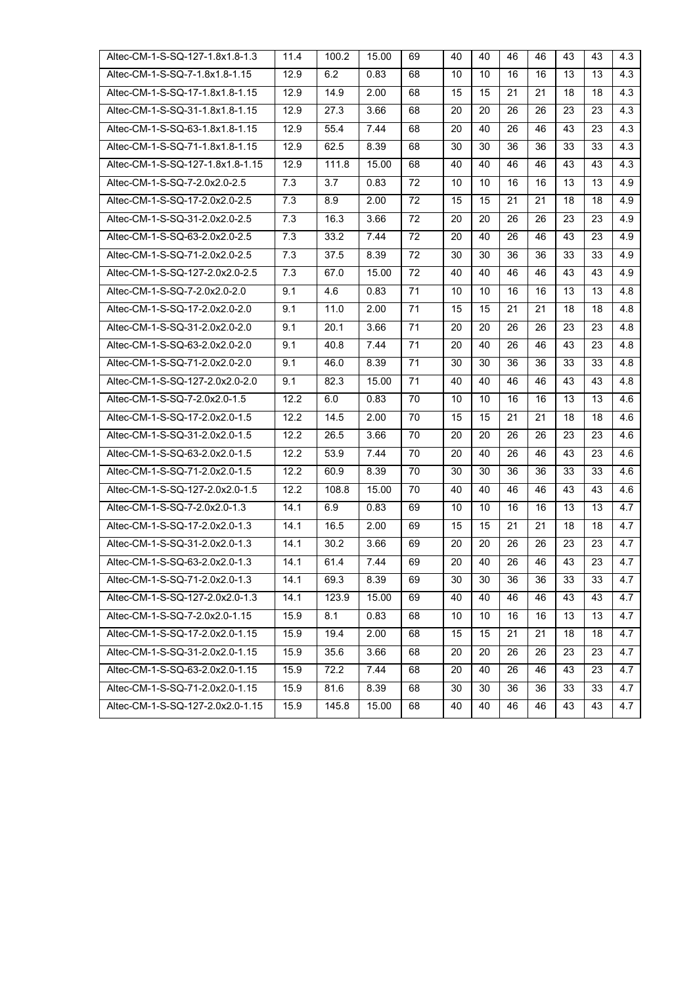| Altec-CM-1-S-SQ-127-1.8x1.8-1.3  | 11.4 | 100.2 | 15.00 | 69 | 40 | 40 | 46 | 46 | 43 | 43 | 4.3 |
|----------------------------------|------|-------|-------|----|----|----|----|----|----|----|-----|
| Altec-CM-1-S-SQ-7-1.8x1.8-1.15   | 12.9 | 6.2   | 0.83  | 68 | 10 | 10 | 16 | 16 | 13 | 13 | 4.3 |
| Altec-CM-1-S-SQ-17-1.8x1.8-1.15  | 12.9 | 14.9  | 2.00  | 68 | 15 | 15 | 21 | 21 | 18 | 18 | 4.3 |
| Altec-CM-1-S-SQ-31-1.8x1.8-1.15  | 12.9 | 27.3  | 3.66  | 68 | 20 | 20 | 26 | 26 | 23 | 23 | 4.3 |
| Altec-CM-1-S-SQ-63-1.8x1.8-1.15  | 12.9 | 55.4  | 7.44  | 68 | 20 | 40 | 26 | 46 | 43 | 23 | 4.3 |
| Altec-CM-1-S-SQ-71-1.8x1.8-1.15  | 12.9 | 62.5  | 8.39  | 68 | 30 | 30 | 36 | 36 | 33 | 33 | 4.3 |
| Altec-CM-1-S-SQ-127-1.8x1.8-1.15 | 12.9 | 111.8 | 15.00 | 68 | 40 | 40 | 46 | 46 | 43 | 43 | 4.3 |
| Altec-CM-1-S-SQ-7-2.0x2.0-2.5    | 7.3  | 3.7   | 0.83  | 72 | 10 | 10 | 16 | 16 | 13 | 13 | 4.9 |
| Altec-CM-1-S-SQ-17-2.0x2.0-2.5   | 7.3  | 8.9   | 2.00  | 72 | 15 | 15 | 21 | 21 | 18 | 18 | 4.9 |
| Altec-CM-1-S-SQ-31-2.0x2.0-2.5   | 7.3  | 16.3  | 3.66  | 72 | 20 | 20 | 26 | 26 | 23 | 23 | 4.9 |
| Altec-CM-1-S-SQ-63-2.0x2.0-2.5   | 7.3  | 33.2  | 7.44  | 72 | 20 | 40 | 26 | 46 | 43 | 23 | 4.9 |
| Altec-CM-1-S-SQ-71-2.0x2.0-2.5   | 7.3  | 37.5  | 8.39  | 72 | 30 | 30 | 36 | 36 | 33 | 33 | 4.9 |
| Altec-CM-1-S-SQ-127-2.0x2.0-2.5  | 7.3  | 67.0  | 15.00 | 72 | 40 | 40 | 46 | 46 | 43 | 43 | 4.9 |
| Altec-CM-1-S-SQ-7-2.0x2.0-2.0    | 9.1  | 4.6   | 0.83  | 71 | 10 | 10 | 16 | 16 | 13 | 13 | 4.8 |
| Altec-CM-1-S-SQ-17-2.0x2.0-2.0   | 9.1  | 11.0  | 2.00  | 71 | 15 | 15 | 21 | 21 | 18 | 18 | 4.8 |
| Altec-CM-1-S-SQ-31-2.0x2.0-2.0   | 9.1  | 20.1  | 3.66  | 71 | 20 | 20 | 26 | 26 | 23 | 23 | 4.8 |
| Altec-CM-1-S-SQ-63-2.0x2.0-2.0   | 9.1  | 40.8  | 7.44  | 71 | 20 | 40 | 26 | 46 | 43 | 23 | 4.8 |
| Altec-CM-1-S-SQ-71-2.0x2.0-2.0   | 9.1  | 46.0  | 8.39  | 71 | 30 | 30 | 36 | 36 | 33 | 33 | 4.8 |
| Altec-CM-1-S-SQ-127-2.0x2.0-2.0  | 9.1  | 82.3  | 15.00 | 71 | 40 | 40 | 46 | 46 | 43 | 43 | 4.8 |
| Altec-CM-1-S-SQ-7-2.0x2.0-1.5    | 12.2 | 6.0   | 0.83  | 70 | 10 | 10 | 16 | 16 | 13 | 13 | 4.6 |
| Altec-CM-1-S-SQ-17-2.0x2.0-1.5   | 12.2 | 14.5  | 2.00  | 70 | 15 | 15 | 21 | 21 | 18 | 18 | 4.6 |
| Altec-CM-1-S-SQ-31-2.0x2.0-1.5   | 12.2 | 26.5  | 3.66  | 70 | 20 | 20 | 26 | 26 | 23 | 23 | 4.6 |
| Altec-CM-1-S-SQ-63-2.0x2.0-1.5   | 12.2 | 53.9  | 7.44  | 70 | 20 | 40 | 26 | 46 | 43 | 23 | 4.6 |
| Altec-CM-1-S-SQ-71-2.0x2.0-1.5   | 12.2 | 60.9  | 8.39  | 70 | 30 | 30 | 36 | 36 | 33 | 33 | 4.6 |
| Altec-CM-1-S-SQ-127-2.0x2.0-1.5  | 12.2 | 108.8 | 15.00 | 70 | 40 | 40 | 46 | 46 | 43 | 43 | 4.6 |
| Altec-CM-1-S-SQ-7-2.0x2.0-1.3    | 14.1 | 6.9   | 0.83  | 69 | 10 | 10 | 16 | 16 | 13 | 13 | 4.7 |
| Altec-CM-1-S-SQ-17-2.0x2.0-1.3   | 14.1 | 16.5  | 2.00  | 69 | 15 | 15 | 21 | 21 | 18 | 18 | 4.7 |
| Altec-CM-1-S-SQ-31-2.0x2.0-1.3   | 14.1 | 30.2  | 3.66  | 69 | 20 | 20 | 26 | 26 | 23 | 23 | 4.7 |
| Altec-CM-1-S-SQ-63-2.0x2.0-1.3   | 14.1 | 61.4  | 7.44  | 69 | 20 | 40 | 26 | 46 | 43 | 23 | 4.7 |
| Altec-CM-1-S-SQ-71-2.0x2.0-1.3   | 14.1 | 69.3  | 8.39  | 69 | 30 | 30 | 36 | 36 | 33 | 33 | 4.7 |
| Altec-CM-1-S-SQ-127-2.0x2.0-1.3  | 14.1 | 123.9 | 15.00 | 69 | 40 | 40 | 46 | 46 | 43 | 43 | 4.7 |
| Altec-CM-1-S-SQ-7-2.0x2.0-1.15   | 15.9 | 8.1   | 0.83  | 68 | 10 | 10 | 16 | 16 | 13 | 13 | 4.7 |
| Altec-CM-1-S-SQ-17-2.0x2.0-1.15  | 15.9 | 19.4  | 2.00  | 68 | 15 | 15 | 21 | 21 | 18 | 18 | 4.7 |
| Altec-CM-1-S-SQ-31-2.0x2.0-1.15  | 15.9 | 35.6  | 3.66  | 68 | 20 | 20 | 26 | 26 | 23 | 23 | 4.7 |
| Altec-CM-1-S-SQ-63-2.0x2.0-1.15  | 15.9 | 72.2  | 7.44  | 68 | 20 | 40 | 26 | 46 | 43 | 23 | 4.7 |
| Altec-CM-1-S-SQ-71-2.0x2.0-1.15  | 15.9 | 81.6  | 8.39  | 68 | 30 | 30 | 36 | 36 | 33 | 33 | 4.7 |
| Altec-CM-1-S-SQ-127-2.0x2.0-1.15 | 15.9 | 145.8 | 15.00 | 68 | 40 | 40 | 46 | 46 | 43 | 43 | 4.7 |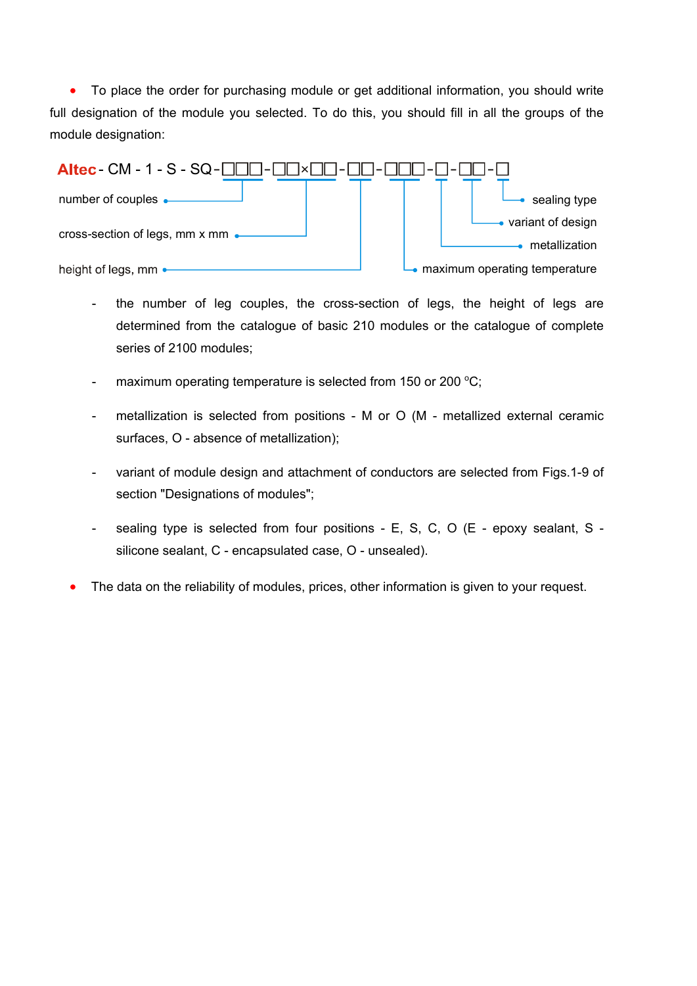• To place the order for purchasing module or get additional information, you should write full designation of the module you selected. To do this, you should fill in all the groups of the module designation:



- the number of leg couples, the cross-section of legs, the height of legs are determined from the catalogue of basic 210 modules or the catalogue of complete series of 2100 modules;
- maximum operating temperature is selected from 150 or 200  $\mathrm{^{\circ}C};$
- metallization is selected from positions М or О (М metallized external ceramic surfaces, О - absence of metallization);
- variant of module design and attachment of conductors are selected from Figs.1-9 of section "Designations of modules";
- sealing type is selected from four positions E, S, C, O (E epoxy sealant, S silicone sealant, С - encapsulated case, О - unsealed).
- The data on the reliability of modules, prices, other information is given to your request.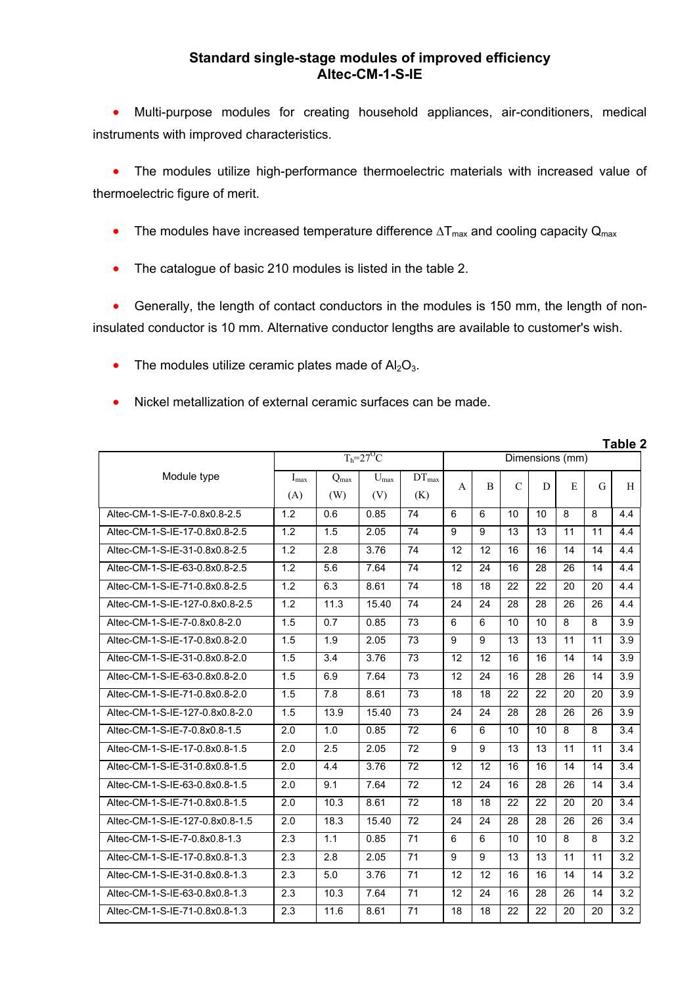## **Standard single-stage modules of improved efficiency Altec-CM-1-S-IE**

 Multi-purpose modules for creating household appliances, air-conditioners, medical instruments with improved characteristics.

 The modules utilize high-performance thermoelectric materials with increased value of thermoelectric figure of merit.

- The modules have increased temperature difference  $\Delta T_{max}$  and cooling capacity  $Q_{max}$
- The catalogue of basic 210 modules is listed in the table 2.

 Generally, the length of contact conductors in the modules is 150 mm, the length of noninsulated conductor is 10 mm. Alternative conductor lengths are available to customer's wish.

- The modules utilize ceramic plates made of  $Al_2O_3$ .
- Nickel metallization of external ceramic surfaces can be made.

|                                 |                  |                         |                           |                          |    |                |               |                 |    |    | Table 2 |
|---------------------------------|------------------|-------------------------|---------------------------|--------------------------|----|----------------|---------------|-----------------|----|----|---------|
|                                 |                  |                         | $T_h = 27$ <sup>O</sup> C |                          |    |                |               | Dimensions (mm) |    |    |         |
| Module type                     | $I_{max}$<br>(A) | $Q_{\text{max}}$<br>(W) | $U_{\rm max}$<br>(V)      | $DT_{\text{max}}$<br>(K) | A  | $\overline{B}$ | $\mathcal{C}$ | D               | E  | G  | H       |
| Altec-CM-1-S-IE-7-0.8x0.8-2.5   | 1.2              | 0.6                     | 0.85                      | 74                       | 6  | 6              | 10            | 10              | 8  | 8  | 4.4     |
| Altec-CM-1-S-IE-17-0.8x0.8-2.5  | 1.2              | 1.5                     | 2.05                      | 74                       | 9  | 9              | 13            | 13              | 11 | 11 | 4.4     |
| Altec-CM-1-S-IE-31-0.8x0.8-2.5  | 1.2              | 2.8                     | 3.76                      | 74                       | 12 | 12             | 16            | 16              | 14 | 14 | 4.4     |
| Altec-CM-1-S-IE-63-0.8x0.8-2.5  | 1.2              | 5.6                     | 7.64                      | 74                       | 12 | 24             | 16            | 28              | 26 | 14 | 4.4     |
| Altec-CM-1-S-IE-71-0.8x0.8-2.5  | 1.2              | 6.3                     | 8.61                      | $\overline{74}$          | 18 | 18             | 22            | 22              | 20 | 20 | 4.4     |
| Altec-CM-1-S-IE-127-0.8x0.8-2.5 | 1.2              | 11.3                    | 15.40                     | 74                       | 24 | 24             | 28            | 28              | 26 | 26 | 4.4     |
| Altec-CM-1-S-IE-7-0.8x0.8-2.0   | 1.5              | 0.7                     | 0.85                      | 73                       | 6  | 6              | 10            | 10              | 8  | 8  | 3.9     |
| Altec-CM-1-S-IE-17-0.8x0.8-2.0  | 1.5              | 1.9                     | 2.05                      | 73                       | 9  | 9              | 13            | 13              | 11 | 11 | 3.9     |
| Altec-CM-1-S-IE-31-0.8x0.8-2.0  | 1.5              | 3.4                     | 3.76                      | 73                       | 12 | 12             | 16            | 16              | 14 | 14 | 3.9     |
| Altec-CM-1-S-IE-63-0.8x0.8-2.0  | 1.5              | 6.9                     | 7.64                      | 73                       | 12 | 24             | 16            | 28              | 26 | 14 | 3.9     |
| Altec-CM-1-S-IE-71-0.8x0.8-2.0  | 1.5              | 7.8                     | 8.61                      | 73                       | 18 | 18             | 22            | 22              | 20 | 20 | 3.9     |
| Altec-CM-1-S-IE-127-0.8x0.8-2.0 | 1.5              | 13.9                    | 15.40                     | 73                       | 24 | 24             | 28            | 28              | 26 | 26 | 3.9     |
| Altec-CM-1-S-IE-7-0.8x0.8-1.5   | 2.0              | 1.0                     | 0.85                      | 72                       | 6  | 6              | 10            | 10              | 8  | 8  | 3.4     |
| Altec-CM-1-S-IE-17-0.8x0.8-1.5  | 2.0              | 2.5                     | 2.05                      | 72                       | 9  | 9              | 13            | 13              | 11 | 11 | 3.4     |
| Altec-CM-1-S-IE-31-0.8x0.8-1.5  | 2.0              | 4.4                     | 3.76                      | 72                       | 12 | 12             | 16            | 16              | 14 | 14 | 3.4     |
| Altec-CM-1-S-IE-63-0.8x0.8-1.5  | 2.0              | 9.1                     | 7.64                      | 72                       | 12 | 24             | 16            | 28              | 26 | 14 | 3.4     |
| Altec-CM-1-S-IE-71-0.8x0.8-1.5  | 2.0              | 10.3                    | 8.61                      | 72                       | 18 | 18             | 22            | 22              | 20 | 20 | 3.4     |
| Altec-CM-1-S-IE-127-0.8x0.8-1.5 | 2.0              | 18.3                    | 15.40                     | 72                       | 24 | 24             | 28            | 28              | 26 | 26 | 3.4     |
| Altec-CM-1-S-IE-7-0.8x0.8-1.3   | 2.3              | 1.1                     | 0.85                      | 71                       | 6  | 6              | 10            | 10              | 8  | 8  | 3.2     |
| Altec-CM-1-S-IE-17-0.8x0.8-1.3  | 2.3              | 2.8                     | 2.05                      | 71                       | 9  | 9              | 13            | 13              | 11 | 11 | 3.2     |
| Altec-CM-1-S-IE-31-0.8x0.8-1.3  | 2.3              | 5.0                     | 3.76                      | 71                       | 12 | 12             | 16            | 16              | 14 | 14 | 3.2     |
| Altec-CM-1-S-IE-63-0.8x0.8-1.3  | 2.3              | 10.3                    | 7.64                      | 71                       | 12 | 24             | 16            | 28              | 26 | 14 | 3.2     |
| Altec-CM-1-S-IE-71-0.8x0.8-1.3  | 2.3              | 11.6                    | 8.61                      | 71                       | 18 | 18             | 22            | 22              | 20 | 20 | 3.2     |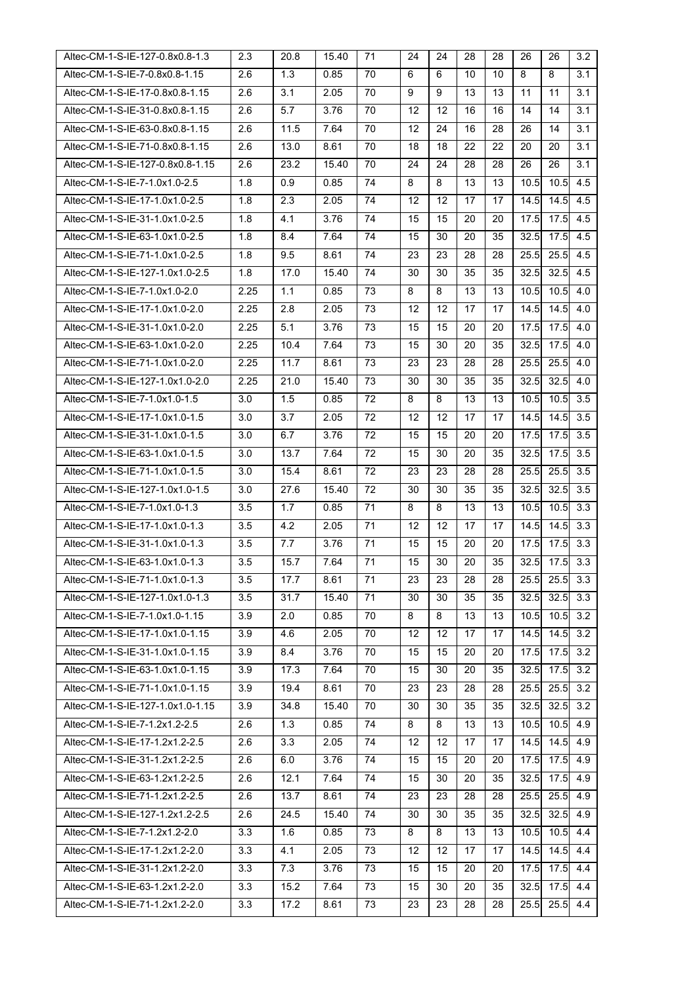| Altec-CM-1-S-IE-127-0.8x0.8-1.3  | 2.3  | 20.8 | 15.40 | 71 | 24 | 24 | 28 | 28 | 26   | 26   | 3.2        |
|----------------------------------|------|------|-------|----|----|----|----|----|------|------|------------|
| Altec-CM-1-S-IE-7-0.8x0.8-1.15   | 2.6  | 1.3  | 0.85  | 70 | 6  | 6  | 10 | 10 | 8    | 8    | 3.1        |
| Altec-CM-1-S-IE-17-0.8x0.8-1.15  | 2.6  | 3.1  | 2.05  | 70 | 9  | 9  | 13 | 13 | 11   | 11   | 3.1        |
| Altec-CM-1-S-IE-31-0.8x0.8-1.15  | 2.6  | 5.7  | 3.76  | 70 | 12 | 12 | 16 | 16 | 14   | 14   | 3.1        |
| Altec-CM-1-S-IE-63-0.8x0.8-1.15  | 2.6  | 11.5 | 7.64  | 70 | 12 | 24 | 16 | 28 | 26   | 14   | 3.1        |
| Altec-CM-1-S-IE-71-0.8x0.8-1.15  | 2.6  | 13.0 | 8.61  | 70 | 18 | 18 | 22 | 22 | 20   | 20   | 3.1        |
| Altec-CM-1-S-IE-127-0.8x0.8-1.15 | 2.6  | 23.2 | 15.40 | 70 | 24 | 24 | 28 | 28 | 26   | 26   | 3.1        |
| Altec-CM-1-S-IE-7-1.0x1.0-2.5    | 1.8  | 0.9  | 0.85  | 74 | 8  | 8  | 13 | 13 | 10.5 | 10.5 | 4.5        |
| Altec-CM-1-S-IE-17-1.0x1.0-2.5   | 1.8  | 2.3  | 2.05  | 74 | 12 | 12 | 17 | 17 | 14.5 | 14.5 | 4.5        |
| Altec-CM-1-S-IE-31-1.0x1.0-2.5   | 1.8  | 4.1  | 3.76  | 74 | 15 | 15 | 20 | 20 | 17.5 | 17.5 | 4.5        |
| Altec-CM-1-S-IE-63-1.0x1.0-2.5   | 1.8  | 8.4  | 7.64  | 74 | 15 | 30 | 20 | 35 | 32.5 | 17.5 | 4.5        |
| Altec-CM-1-S-IE-71-1.0x1.0-2.5   | 1.8  | 9.5  | 8.61  | 74 | 23 | 23 | 28 | 28 | 25.5 | 25.5 | 4.5        |
| Altec-CM-1-S-IE-127-1.0x1.0-2.5  | 1.8  | 17.0 | 15.40 | 74 | 30 | 30 | 35 | 35 | 32.5 | 32.5 | 4.5        |
| Altec-CM-1-S-IE-7-1.0x1.0-2.0    | 2.25 | 1.1  | 0.85  | 73 | 8  | 8  | 13 | 13 | 10.5 | 10.5 | 4.0        |
| Altec-CM-1-S-IE-17-1.0x1.0-2.0   | 2.25 | 2.8  | 2.05  | 73 | 12 | 12 | 17 | 17 | 14.5 | 14.5 | 4.0        |
| Altec-CM-1-S-IE-31-1.0x1.0-2.0   | 2.25 | 5.1  | 3.76  | 73 | 15 | 15 | 20 | 20 | 17.5 | 17.5 | 4.0        |
| Altec-CM-1-S-IE-63-1.0x1.0-2.0   | 2.25 | 10.4 | 7.64  | 73 | 15 | 30 | 20 | 35 | 32.5 | 17.5 | 4.0        |
| Altec-CM-1-S-IE-71-1.0x1.0-2.0   | 2.25 | 11.7 | 8.61  | 73 | 23 | 23 | 28 | 28 | 25.5 | 25.5 | 4.0        |
| Altec-CM-1-S-IE-127-1.0x1.0-2.0  | 2.25 | 21.0 | 15.40 | 73 | 30 | 30 | 35 | 35 | 32.5 | 32.5 | 4.0        |
| Altec-CM-1-S-IE-7-1.0x1.0-1.5    | 3.0  | 1.5  | 0.85  | 72 | 8  | 8  | 13 | 13 | 10.5 | 10.5 | 3.5        |
| Altec-CM-1-S-IE-17-1.0x1.0-1.5   | 3.0  | 3.7  | 2.05  | 72 | 12 | 12 | 17 | 17 | 14.5 | 14.5 | 3.5        |
| Altec-CM-1-S-IE-31-1.0x1.0-1.5   | 3.0  | 6.7  | 3.76  | 72 | 15 | 15 | 20 | 20 | 17.5 | 17.5 | 3.5        |
| Altec-CM-1-S-IE-63-1.0x1.0-1.5   | 3.0  | 13.7 | 7.64  | 72 | 15 | 30 | 20 | 35 | 32.5 | 17.5 | 3.5        |
| Altec-CM-1-S-IE-71-1.0x1.0-1.5   | 3.0  | 15.4 | 8.61  | 72 | 23 | 23 | 28 | 28 | 25.5 | 25.5 | 3.5        |
| Altec-CM-1-S-IE-127-1.0x1.0-1.5  | 3.0  | 27.6 | 15.40 | 72 | 30 | 30 | 35 | 35 | 32.5 | 32.5 | 3.5        |
| Altec-CM-1-S-IE-7-1.0x1.0-1.3    | 3.5  | 1.7  | 0.85  | 71 | 8  | 8  | 13 | 13 | 10.5 | 10.5 | 3.3        |
| Altec-CM-1-S-IE-17-1.0x1.0-1.3   | 3.5  | 4.2  | 2.05  | 71 | 12 | 12 | 17 | 17 | 14.5 | 14.5 | 3.3        |
| Altec-CM-1-S-IE-31-1.0x1.0-1.3   | 3.5  | 7.7  | 3.76  | 71 | 15 | 15 | 20 | 20 | 17.5 | 17.5 | 3.3        |
| Altec-CM-1-S-IE-63-1.0x1.0-1.3   | 3.5  | 15.7 | 7.64  | 71 | 15 | 30 | 20 | 35 | 32.5 | 17.5 | 3.3        |
| Altec-CM-1-S-IE-71-1.0x1.0-1.3   | 3.5  | 17.7 | 8.61  | 71 | 23 | 23 | 28 | 28 | 25.5 |      | $25.5$ 3.3 |
| Altec-CM-1-S-IE-127-1.0x1.0-1.3  | 3.5  | 31.7 | 15.40 | 71 | 30 | 30 | 35 | 35 | 32.5 | 32.5 | 3.3        |
| Altec-CM-1-S-IE-7-1.0x1.0-1.15   | 3.9  | 2.0  | 0.85  | 70 | 8  | 8  | 13 | 13 | 10.5 | 10.5 | 3.2        |
| Altec-CM-1-S-IE-17-1.0x1.0-1.15  | 3.9  | 4.6  | 2.05  | 70 | 12 | 12 | 17 | 17 | 14.5 | 14.5 | 3.2        |
| Altec-CM-1-S-IE-31-1.0x1.0-1.15  | 3.9  | 8.4  | 3.76  | 70 | 15 | 15 | 20 | 20 | 17.5 | 17.5 | 3.2        |
| Altec-CM-1-S-IE-63-1.0x1.0-1.15  | 3.9  | 17.3 | 7.64  | 70 | 15 | 30 | 20 | 35 | 32.5 | 17.5 | 3.2        |
| Altec-CM-1-S-IE-71-1.0x1.0-1.15  | 3.9  | 19.4 | 8.61  | 70 | 23 | 23 | 28 | 28 | 25.5 | 25.5 | 3.2        |
| Altec-CM-1-S-IE-127-1.0x1.0-1.15 | 3.9  | 34.8 | 15.40 | 70 | 30 | 30 | 35 | 35 | 32.5 | 32.5 | 3.2        |
| Altec-CM-1-S-IE-7-1.2x1.2-2.5    | 2.6  | 1.3  | 0.85  | 74 | 8  | 8  | 13 | 13 | 10.5 | 10.5 | 4.9        |
| Altec-CM-1-S-IE-17-1.2x1.2-2.5   | 2.6  | 3.3  | 2.05  | 74 | 12 | 12 | 17 | 17 | 14.5 | 14.5 | 4.9        |
| Altec-CM-1-S-IE-31-1.2x1.2-2.5   | 2.6  | 6.0  | 3.76  | 74 | 15 | 15 | 20 | 20 | 17.5 | 17.5 | 4.9        |
| Altec-CM-1-S-IE-63-1.2x1.2-2.5   | 2.6  | 12.1 | 7.64  | 74 | 15 | 30 | 20 | 35 | 32.5 | 17.5 | 4.9        |
| Altec-CM-1-S-IE-71-1.2x1.2-2.5   | 2.6  | 13.7 | 8.61  | 74 | 23 | 23 | 28 | 28 | 25.5 | 25.5 | 4.9        |
| Altec-CM-1-S-IE-127-1.2x1.2-2.5  | 2.6  | 24.5 | 15.40 | 74 | 30 | 30 | 35 | 35 | 32.5 | 32.5 | 4.9        |
| Altec-CM-1-S-IE-7-1.2x1.2-2.0    | 3.3  | 1.6  | 0.85  | 73 | 8  | 8  | 13 | 13 | 10.5 | 10.5 | 4.4        |
| Altec-CM-1-S-IE-17-1.2x1.2-2.0   | 3.3  | 4.1  | 2.05  | 73 | 12 | 12 | 17 | 17 | 14.5 | 14.5 | 4.4        |
| Altec-CM-1-S-IE-31-1.2x1.2-2.0   | 3.3  | 7.3  | 3.76  | 73 | 15 | 15 | 20 | 20 | 17.5 | 17.5 | 4.4        |
| Altec-CM-1-S-IE-63-1.2x1.2-2.0   | 3.3  | 15.2 | 7.64  | 73 | 15 | 30 | 20 | 35 | 32.5 | 17.5 | 4.4        |
| Altec-CM-1-S-IE-71-1.2x1.2-2.0   | 3.3  | 17.2 | 8.61  | 73 | 23 | 23 | 28 | 28 | 25.5 |      | $25.5$ 4.4 |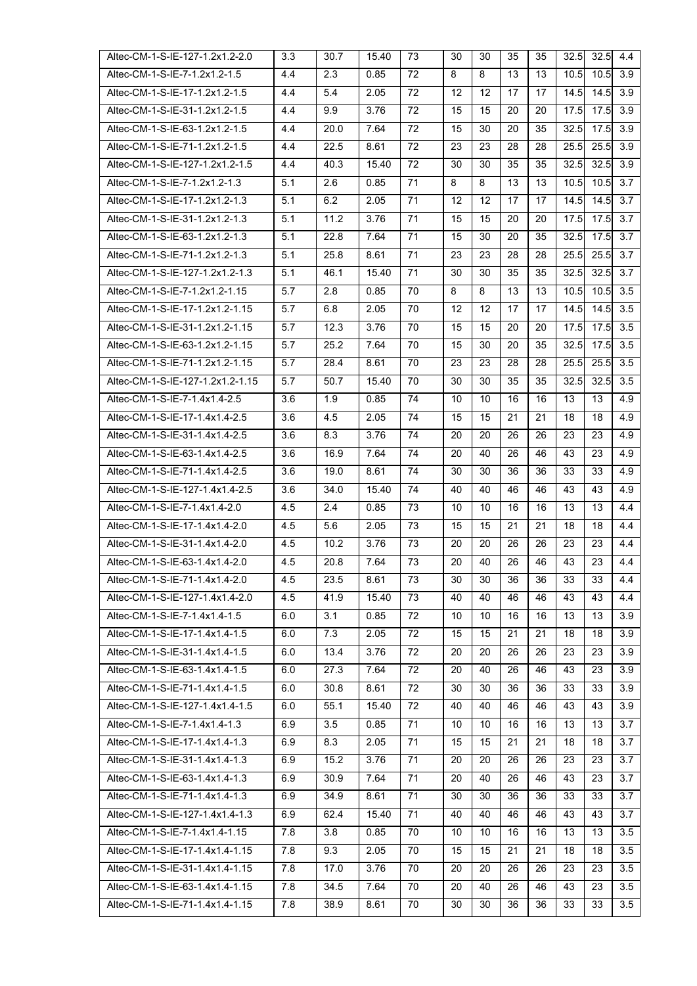| Altec-CM-1-S-IE-127-1.2x1.2-2.0  | 3.3 | 30.7 | 15.40 | 73 | 30 | 30 | 35 | 35 | 32.5 | 32.5 | 4.4 |
|----------------------------------|-----|------|-------|----|----|----|----|----|------|------|-----|
| Altec-CM-1-S-IE-7-1.2x1.2-1.5    | 4.4 | 2.3  | 0.85  | 72 | 8  | 8  | 13 | 13 | 10.5 | 10.5 | 3.9 |
| Altec-CM-1-S-IE-17-1.2x1.2-1.5   | 4.4 | 5.4  | 2.05  | 72 | 12 | 12 | 17 | 17 | 14.5 | 14.5 | 3.9 |
| Altec-CM-1-S-IE-31-1.2x1.2-1.5   | 4.4 | 9.9  | 3.76  | 72 | 15 | 15 | 20 | 20 | 17.5 | 17.5 | 3.9 |
| Altec-CM-1-S-IE-63-1.2x1.2-1.5   | 4.4 | 20.0 | 7.64  | 72 | 15 | 30 | 20 | 35 | 32.5 | 17.5 | 3.9 |
| Altec-CM-1-S-IE-71-1.2x1.2-1.5   | 4.4 | 22.5 | 8.61  | 72 | 23 | 23 | 28 | 28 | 25.5 | 25.5 | 3.9 |
| Altec-CM-1-S-IE-127-1.2x1.2-1.5  | 4.4 | 40.3 | 15.40 | 72 | 30 | 30 | 35 | 35 | 32.5 | 32.5 | 3.9 |
| Altec-CM-1-S-IE-7-1.2x1.2-1.3    | 5.1 | 2.6  | 0.85  | 71 | 8  | 8  | 13 | 13 | 10.5 | 10.5 | 3.7 |
| Altec-CM-1-S-IE-17-1.2x1.2-1.3   | 5.1 | 6.2  | 2.05  | 71 | 12 | 12 | 17 | 17 | 14.5 | 14.5 | 3.7 |
| Altec-CM-1-S-IE-31-1.2x1.2-1.3   | 5.1 | 11.2 | 3.76  | 71 | 15 | 15 | 20 | 20 | 17.5 | 17.5 | 3.7 |
| Altec-CM-1-S-IE-63-1.2x1.2-1.3   | 5.1 | 22.8 | 7.64  | 71 | 15 | 30 | 20 | 35 | 32.5 | 17.5 | 3.7 |
| Altec-CM-1-S-IE-71-1.2x1.2-1.3   | 5.1 | 25.8 | 8.61  | 71 | 23 | 23 | 28 | 28 | 25.5 | 25.5 | 3.7 |
| Altec-CM-1-S-IE-127-1.2x1.2-1.3  | 5.1 | 46.1 | 15.40 | 71 | 30 | 30 | 35 | 35 | 32.5 | 32.5 | 3.7 |
| Altec-CM-1-S-IE-7-1.2x1.2-1.15   | 5.7 | 2.8  | 0.85  | 70 | 8  | 8  | 13 | 13 | 10.5 | 10.5 | 3.5 |
| Altec-CM-1-S-IE-17-1.2x1.2-1.15  | 5.7 | 6.8  | 2.05  | 70 | 12 | 12 | 17 | 17 | 14.5 | 14.5 | 3.5 |
| Altec-CM-1-S-IE-31-1.2x1.2-1.15  | 5.7 | 12.3 | 3.76  | 70 | 15 | 15 | 20 | 20 | 17.5 | 17.5 | 3.5 |
| Altec-CM-1-S-IE-63-1.2x1.2-1.15  | 5.7 | 25.2 | 7.64  | 70 | 15 | 30 | 20 | 35 | 32.5 | 17.5 | 3.5 |
| Altec-CM-1-S-IE-71-1.2x1.2-1.15  | 5.7 | 28.4 | 8.61  | 70 | 23 | 23 | 28 | 28 | 25.5 | 25.5 | 3.5 |
| Altec-CM-1-S-IE-127-1.2x1.2-1.15 | 5.7 | 50.7 | 15.40 | 70 | 30 | 30 | 35 | 35 | 32.5 | 32.5 | 3.5 |
| Altec-CM-1-S-IE-7-1.4x1.4-2.5    | 3.6 | 1.9  | 0.85  | 74 | 10 | 10 | 16 | 16 | 13   | 13   | 4.9 |
| Altec-CM-1-S-IE-17-1.4x1.4-2.5   | 3.6 | 4.5  | 2.05  | 74 | 15 | 15 | 21 | 21 | 18   | 18   | 4.9 |
| Altec-CM-1-S-IE-31-1.4x1.4-2.5   | 3.6 | 8.3  | 3.76  | 74 | 20 | 20 | 26 | 26 | 23   | 23   | 4.9 |
| Altec-CM-1-S-IE-63-1.4x1.4-2.5   | 3.6 | 16.9 | 7.64  | 74 | 20 | 40 | 26 | 46 | 43   | 23   | 4.9 |
| Altec-CM-1-S-IE-71-1.4x1.4-2.5   | 3.6 | 19.0 | 8.61  | 74 | 30 | 30 | 36 | 36 | 33   | 33   | 4.9 |
| Altec-CM-1-S-IE-127-1.4x1.4-2.5  | 3.6 | 34.0 | 15.40 | 74 | 40 | 40 | 46 | 46 | 43   | 43   | 4.9 |
| Altec-CM-1-S-IE-7-1.4x1.4-2.0    | 4.5 | 2.4  | 0.85  | 73 | 10 | 10 | 16 | 16 | 13   | 13   | 4.4 |
| Altec-CM-1-S-IE-17-1.4x1.4-2.0   | 4.5 | 5.6  | 2.05  | 73 | 15 | 15 | 21 | 21 | 18   | 18   | 4.4 |
| Altec-CM-1-S-IE-31-1.4x1.4-2.0   | 4.5 | 10.2 | 3.76  | 73 | 20 | 20 | 26 | 26 | 23   | 23   | 4.4 |
| Altec-CM-1-S-IE-63-1.4x1.4-2.0   | 4.5 | 20.8 | 7.64  | 73 | 20 | 40 | 26 | 46 | 43   | 23   | 4.4 |
| Altec-CM-1-S-IE-71-1.4x1.4-2.0   | 4.5 | 23.5 | 8.61  | 73 | 30 | 30 | 36 | 36 | 33   | 33   | 4.4 |
| Altec-CM-1-S-IE-127-1.4x1.4-2.0  | 4.5 | 41.9 | 15.40 | 73 | 40 | 40 | 46 | 46 | 43   | 43   | 4.4 |
| Altec-CM-1-S-IE-7-1.4x1.4-1.5    | 6.0 | 3.1  | 0.85  | 72 | 10 | 10 | 16 | 16 | 13   | 13   | 3.9 |
| Altec-CM-1-S-IE-17-1.4x1.4-1.5   | 6.0 | 7.3  | 2.05  | 72 | 15 | 15 | 21 | 21 | 18   | 18   | 3.9 |
| Altec-CM-1-S-IE-31-1.4x1.4-1.5   | 6.0 | 13.4 | 3.76  | 72 | 20 | 20 | 26 | 26 | 23   | 23   | 3.9 |
| Altec-CM-1-S-IE-63-1.4x1.4-1.5   | 6.0 | 27.3 | 7.64  | 72 | 20 | 40 | 26 | 46 | 43   | 23   | 3.9 |
| Altec-CM-1-S-IE-71-1.4x1.4-1.5   | 6.0 | 30.8 | 8.61  | 72 | 30 | 30 | 36 | 36 | 33   | 33   | 3.9 |
| Altec-CM-1-S-IE-127-1.4x1.4-1.5  | 6.0 | 55.1 | 15.40 | 72 | 40 | 40 | 46 | 46 | 43   | 43   | 3.9 |
| Altec-CM-1-S-IE-7-1.4x1.4-1.3    | 6.9 | 3.5  | 0.85  | 71 | 10 | 10 | 16 | 16 | 13   | 13   | 3.7 |
| Altec-CM-1-S-IE-17-1.4x1.4-1.3   | 6.9 | 8.3  | 2.05  | 71 | 15 | 15 | 21 | 21 | 18   | 18   | 3.7 |
| Altec-CM-1-S-IE-31-1.4x1.4-1.3   | 6.9 | 15.2 | 3.76  | 71 | 20 | 20 | 26 | 26 | 23   | 23   | 3.7 |
| Altec-CM-1-S-IE-63-1.4x1.4-1.3   | 6.9 | 30.9 | 7.64  | 71 | 20 | 40 | 26 | 46 | 43   | 23   | 3.7 |
| Altec-CM-1-S-IE-71-1.4x1.4-1.3   | 6.9 | 34.9 | 8.61  | 71 | 30 | 30 | 36 | 36 | 33   | 33   | 3.7 |
| Altec-CM-1-S-IE-127-1.4x1.4-1.3  | 6.9 | 62.4 | 15.40 | 71 | 40 | 40 | 46 | 46 | 43   | 43   | 3.7 |
| Altec-CM-1-S-IE-7-1.4x1.4-1.15   | 7.8 | 3.8  | 0.85  | 70 | 10 | 10 | 16 | 16 | 13   | 13   | 3.5 |
| Altec-CM-1-S-IE-17-1.4x1.4-1.15  | 7.8 | 9.3  | 2.05  | 70 | 15 | 15 | 21 | 21 | 18   | 18   | 3.5 |
| Altec-CM-1-S-IE-31-1.4x1.4-1.15  | 7.8 | 17.0 | 3.76  | 70 | 20 | 20 | 26 | 26 | 23   | 23   | 3.5 |
| Altec-CM-1-S-IE-63-1.4x1.4-1.15  | 7.8 | 34.5 | 7.64  | 70 | 20 | 40 | 26 | 46 | 43   | 23   | 3.5 |
| Altec-CM-1-S-IE-71-1.4x1.4-1.15  | 7.8 | 38.9 | 8.61  | 70 | 30 | 30 | 36 | 36 | 33   | 33   | 3.5 |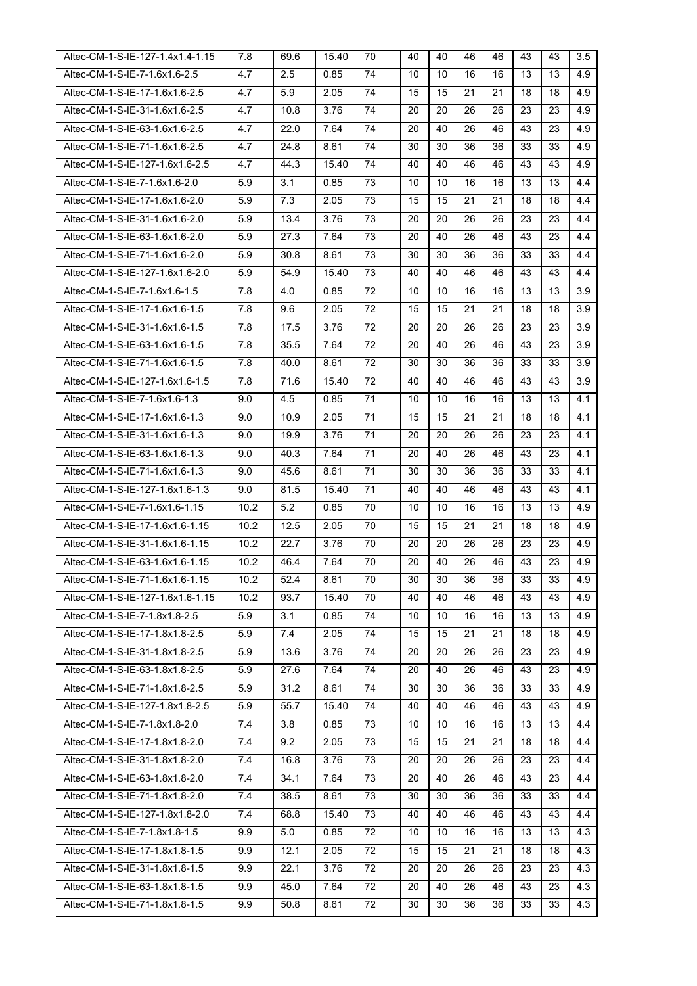| Altec-CM-1-S-IE-127-1.4x1.4-1.15 | 7.8  | 69.6 | 15.40 | 70 | 40 | 40 | 46 | 46 | 43 | 43 | 3.5 |
|----------------------------------|------|------|-------|----|----|----|----|----|----|----|-----|
| Altec-CM-1-S-IE-7-1.6x1.6-2.5    | 4.7  | 2.5  | 0.85  | 74 | 10 | 10 | 16 | 16 | 13 | 13 | 4.9 |
| Altec-CM-1-S-IE-17-1.6x1.6-2.5   | 4.7  | 5.9  | 2.05  | 74 | 15 | 15 | 21 | 21 | 18 | 18 | 4.9 |
| Altec-CM-1-S-IE-31-1.6x1.6-2.5   | 4.7  | 10.8 | 3.76  | 74 | 20 | 20 | 26 | 26 | 23 | 23 | 4.9 |
| Altec-CM-1-S-IE-63-1.6x1.6-2.5   | 4.7  | 22.0 | 7.64  | 74 | 20 | 40 | 26 | 46 | 43 | 23 | 4.9 |
| Altec-CM-1-S-IE-71-1.6x1.6-2.5   | 4.7  | 24.8 | 8.61  | 74 | 30 | 30 | 36 | 36 | 33 | 33 | 4.9 |
| Altec-CM-1-S-IE-127-1.6x1.6-2.5  | 4.7  | 44.3 | 15.40 | 74 | 40 | 40 | 46 | 46 | 43 | 43 | 4.9 |
| Altec-CM-1-S-IE-7-1.6x1.6-2.0    | 5.9  | 3.1  | 0.85  | 73 | 10 | 10 | 16 | 16 | 13 | 13 | 4.4 |
| Altec-CM-1-S-IE-17-1.6x1.6-2.0   | 5.9  | 7.3  | 2.05  | 73 | 15 | 15 | 21 | 21 | 18 | 18 | 4.4 |
| Altec-CM-1-S-IE-31-1.6x1.6-2.0   | 5.9  | 13.4 | 3.76  | 73 | 20 | 20 | 26 | 26 | 23 | 23 | 4.4 |
| Altec-CM-1-S-IE-63-1.6x1.6-2.0   | 5.9  | 27.3 | 7.64  | 73 | 20 | 40 | 26 | 46 | 43 | 23 | 4.4 |
| Altec-CM-1-S-IE-71-1.6x1.6-2.0   | 5.9  | 30.8 | 8.61  | 73 | 30 | 30 | 36 | 36 | 33 | 33 | 4.4 |
| Altec-CM-1-S-IE-127-1.6x1.6-2.0  | 5.9  | 54.9 | 15.40 | 73 | 40 | 40 | 46 | 46 | 43 | 43 | 4.4 |
| Altec-CM-1-S-IE-7-1.6x1.6-1.5    | 7.8  | 4.0  | 0.85  | 72 | 10 | 10 | 16 | 16 | 13 | 13 | 3.9 |
| Altec-CM-1-S-IE-17-1.6x1.6-1.5   | 7.8  | 9.6  | 2.05  | 72 | 15 | 15 | 21 | 21 | 18 | 18 | 3.9 |
| Altec-CM-1-S-IE-31-1.6x1.6-1.5   | 7.8  | 17.5 | 3.76  | 72 | 20 | 20 | 26 | 26 | 23 | 23 | 3.9 |
| Altec-CM-1-S-IE-63-1.6x1.6-1.5   | 7.8  | 35.5 | 7.64  | 72 | 20 | 40 | 26 | 46 | 43 | 23 | 3.9 |
| Altec-CM-1-S-IE-71-1.6x1.6-1.5   | 7.8  | 40.0 | 8.61  | 72 | 30 | 30 | 36 | 36 | 33 | 33 | 3.9 |
| Altec-CM-1-S-IE-127-1.6x1.6-1.5  | 7.8  | 71.6 | 15.40 | 72 | 40 | 40 | 46 | 46 | 43 | 43 | 3.9 |
| Altec-CM-1-S-IE-7-1.6x1.6-1.3    | 9.0  | 4.5  | 0.85  | 71 | 10 | 10 | 16 | 16 | 13 | 13 | 4.1 |
| Altec-CM-1-S-IE-17-1.6x1.6-1.3   | 9.0  | 10.9 | 2.05  | 71 | 15 | 15 | 21 | 21 | 18 | 18 | 4.1 |
| Altec-CM-1-S-IE-31-1.6x1.6-1.3   | 9.0  | 19.9 | 3.76  | 71 | 20 | 20 | 26 | 26 | 23 | 23 | 4.1 |
| Altec-CM-1-S-IE-63-1.6x1.6-1.3   | 9.0  | 40.3 | 7.64  | 71 | 20 | 40 | 26 | 46 | 43 | 23 | 4.1 |
| Altec-CM-1-S-IE-71-1.6x1.6-1.3   | 9.0  | 45.6 | 8.61  | 71 | 30 | 30 | 36 | 36 | 33 | 33 | 4.1 |
| Altec-CM-1-S-IE-127-1.6x1.6-1.3  | 9.0  | 81.5 | 15.40 | 71 | 40 | 40 | 46 | 46 | 43 | 43 | 4.1 |
| Altec-CM-1-S-IE-7-1.6x1.6-1.15   | 10.2 | 5.2  | 0.85  | 70 | 10 | 10 | 16 | 16 | 13 | 13 | 4.9 |
| Altec-CM-1-S-IE-17-1.6x1.6-1.15  | 10.2 | 12.5 | 2.05  | 70 | 15 | 15 | 21 | 21 | 18 | 18 | 4.9 |
| Altec-CM-1-S-IE-31-1.6x1.6-1.15  | 10.2 | 22.7 | 3.76  | 70 | 20 | 20 | 26 | 26 | 23 | 23 | 4.9 |
| Altec-CM-1-S-IE-63-1.6x1.6-1.15  | 10.2 | 46.4 | 7.64  | 70 | 20 | 40 | 26 | 46 | 43 | 23 | 4.9 |
| Altec-CM-1-S-IE-71-1.6x1.6-1.15  | 10.2 | 52.4 | 8.61  | 70 | 30 | 30 | 36 | 36 | 33 | 33 | 4.9 |
| Altec-CM-1-S-IE-127-1.6x1.6-1.15 | 10.2 | 93.7 | 15.40 | 70 | 40 | 40 | 46 | 46 | 43 | 43 | 4.9 |
| Altec-CM-1-S-IE-7-1.8x1.8-2.5    | 5.9  | 3.1  | 0.85  | 74 | 10 | 10 | 16 | 16 | 13 | 13 | 4.9 |
| Altec-CM-1-S-IE-17-1.8x1.8-2.5   | 5.9  | 7.4  | 2.05  | 74 | 15 | 15 | 21 | 21 | 18 | 18 | 4.9 |
| Altec-CM-1-S-IE-31-1.8x1.8-2.5   | 5.9  | 13.6 | 3.76  | 74 | 20 | 20 | 26 | 26 | 23 | 23 | 4.9 |
| Altec-CM-1-S-IE-63-1.8x1.8-2.5   | 5.9  | 27.6 | 7.64  | 74 | 20 | 40 | 26 | 46 | 43 | 23 | 4.9 |
| Altec-CM-1-S-IE-71-1.8x1.8-2.5   | 5.9  | 31.2 | 8.61  | 74 | 30 | 30 | 36 | 36 | 33 | 33 | 4.9 |
| Altec-CM-1-S-IE-127-1.8x1.8-2.5  | 5.9  | 55.7 | 15.40 | 74 | 40 | 40 | 46 | 46 | 43 | 43 | 4.9 |
| Altec-CM-1-S-IE-7-1.8x1.8-2.0    | 7.4  | 3.8  | 0.85  | 73 | 10 | 10 | 16 | 16 | 13 | 13 | 4.4 |
| Altec-CM-1-S-IE-17-1.8x1.8-2.0   | 7.4  | 9.2  | 2.05  | 73 | 15 | 15 | 21 | 21 | 18 | 18 | 4.4 |
| Altec-CM-1-S-IE-31-1.8x1.8-2.0   | 7.4  | 16.8 | 3.76  | 73 | 20 | 20 | 26 | 26 | 23 | 23 | 4.4 |
| Altec-CM-1-S-IE-63-1.8x1.8-2.0   | 7.4  | 34.1 | 7.64  | 73 | 20 | 40 | 26 | 46 | 43 | 23 | 4.4 |
| Altec-CM-1-S-IE-71-1.8x1.8-2.0   | 7.4  | 38.5 | 8.61  | 73 | 30 | 30 | 36 | 36 | 33 | 33 | 4.4 |
| Altec-CM-1-S-IE-127-1.8x1.8-2.0  | 7.4  | 68.8 | 15.40 | 73 | 40 | 40 | 46 | 46 | 43 | 43 | 4.4 |
| Altec-CM-1-S-IE-7-1.8x1.8-1.5    | 9.9  | 5.0  | 0.85  | 72 | 10 | 10 | 16 | 16 | 13 | 13 | 4.3 |
| Altec-CM-1-S-IE-17-1.8x1.8-1.5   | 9.9  | 12.1 | 2.05  | 72 | 15 | 15 | 21 | 21 | 18 | 18 | 4.3 |
| Altec-CM-1-S-IE-31-1.8x1.8-1.5   | 9.9  | 22.1 | 3.76  | 72 | 20 | 20 | 26 | 26 | 23 | 23 | 4.3 |
| Altec-CM-1-S-IE-63-1.8x1.8-1.5   | 9.9  | 45.0 | 7.64  | 72 | 20 | 40 | 26 | 46 | 43 | 23 | 4.3 |
| Altec-CM-1-S-IE-71-1.8x1.8-1.5   | 9.9  | 50.8 | 8.61  | 72 | 30 | 30 | 36 | 36 | 33 | 33 | 4.3 |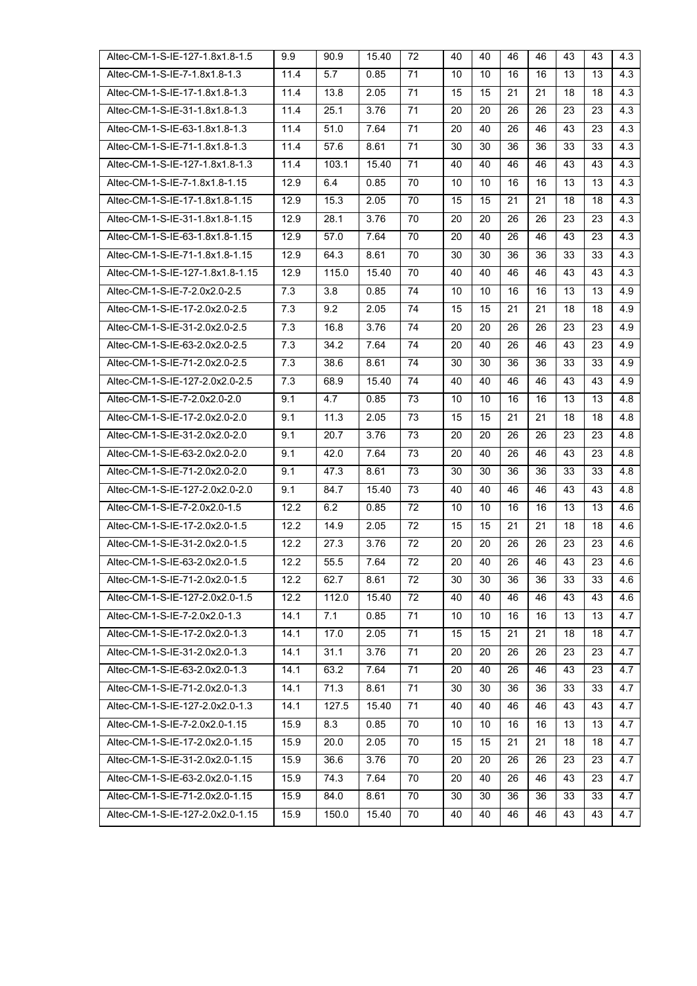| Altec-CM-1-S-IE-127-1.8x1.8-1.5  | 9.9  | 90.9  | 15.40 | 72              | 40 | 40 | 46              | 46 | 43 | 43 | 4.3 |
|----------------------------------|------|-------|-------|-----------------|----|----|-----------------|----|----|----|-----|
| Altec-CM-1-S-IE-7-1.8x1.8-1.3    | 11.4 | 5.7   | 0.85  | 71              | 10 | 10 | 16              | 16 | 13 | 13 | 4.3 |
| Altec-CM-1-S-IE-17-1.8x1.8-1.3   | 11.4 | 13.8  | 2.05  | 71              | 15 | 15 | 21              | 21 | 18 | 18 | 4.3 |
| Altec-CM-1-S-IE-31-1.8x1.8-1.3   | 11.4 | 25.1  | 3.76  | 71              | 20 | 20 | 26              | 26 | 23 | 23 | 4.3 |
| Altec-CM-1-S-IE-63-1.8x1.8-1.3   | 11.4 | 51.0  | 7.64  | 71              | 20 | 40 | 26              | 46 | 43 | 23 | 4.3 |
| Altec-CM-1-S-IE-71-1.8x1.8-1.3   | 11.4 | 57.6  | 8.61  | 71              | 30 | 30 | 36              | 36 | 33 | 33 | 4.3 |
| Altec-CM-1-S-IE-127-1.8x1.8-1.3  | 11.4 | 103.1 | 15.40 | 71              | 40 | 40 | 46              | 46 | 43 | 43 | 4.3 |
| Altec-CM-1-S-IE-7-1.8x1.8-1.15   | 12.9 | 6.4   | 0.85  | 70              | 10 | 10 | 16              | 16 | 13 | 13 | 4.3 |
| Altec-CM-1-S-IE-17-1.8x1.8-1.15  | 12.9 | 15.3  | 2.05  | 70              | 15 | 15 | 21              | 21 | 18 | 18 | 4.3 |
| Altec-CM-1-S-IE-31-1.8x1.8-1.15  | 12.9 | 28.1  | 3.76  | 70              | 20 | 20 | 26              | 26 | 23 | 23 | 4.3 |
| Altec-CM-1-S-IE-63-1.8x1.8-1.15  | 12.9 | 57.0  | 7.64  | 70              | 20 | 40 | 26              | 46 | 43 | 23 | 4.3 |
| Altec-CM-1-S-IE-71-1.8x1.8-1.15  | 12.9 | 64.3  | 8.61  | 70              | 30 | 30 | 36              | 36 | 33 | 33 | 4.3 |
| Altec-CM-1-S-IE-127-1.8x1.8-1.15 | 12.9 | 115.0 | 15.40 | 70              | 40 | 40 | 46              | 46 | 43 | 43 | 4.3 |
| Altec-CM-1-S-IE-7-2.0x2.0-2.5    | 7.3  | 3.8   | 0.85  | 74              | 10 | 10 | 16              | 16 | 13 | 13 | 4.9 |
| Altec-CM-1-S-IE-17-2.0x2.0-2.5   | 7.3  | 9.2   | 2.05  | 74              | 15 | 15 | 21              | 21 | 18 | 18 | 4.9 |
| Altec-CM-1-S-IE-31-2.0x2.0-2.5   | 7.3  | 16.8  | 3.76  | 74              | 20 | 20 | 26              | 26 | 23 | 23 | 4.9 |
| Altec-CM-1-S-IE-63-2.0x2.0-2.5   | 7.3  | 34.2  | 7.64  | 74              | 20 | 40 | 26              | 46 | 43 | 23 | 4.9 |
| Altec-CM-1-S-IE-71-2.0x2.0-2.5   | 7.3  | 38.6  | 8.61  | 74              | 30 | 30 | 36              | 36 | 33 | 33 | 4.9 |
| Altec-CM-1-S-IE-127-2.0x2.0-2.5  | 7.3  | 68.9  | 15.40 | 74              | 40 | 40 | 46              | 46 | 43 | 43 | 4.9 |
| Altec-CM-1-S-IE-7-2.0x2.0-2.0    | 9.1  | 4.7   | 0.85  | 73              | 10 | 10 | 16              | 16 | 13 | 13 | 4.8 |
| Altec-CM-1-S-IE-17-2.0x2.0-2.0   | 9.1  | 11.3  | 2.05  | 73              | 15 | 15 | 21              | 21 | 18 | 18 | 4.8 |
| Altec-CM-1-S-IE-31-2.0x2.0-2.0   | 9.1  | 20.7  | 3.76  | 73              | 20 | 20 | 26              | 26 | 23 | 23 | 4.8 |
| Altec-CM-1-S-IE-63-2.0x2.0-2.0   | 9.1  | 42.0  | 7.64  | 73              | 20 | 40 | 26              | 46 | 43 | 23 | 4.8 |
| Altec-CM-1-S-IE-71-2.0x2.0-2.0   | 9.1  | 47.3  | 8.61  | 73              | 30 | 30 | 36              | 36 | 33 | 33 | 4.8 |
| Altec-CM-1-S-IE-127-2.0x2.0-2.0  | 9.1  | 84.7  | 15.40 | 73              | 40 | 40 | 46              | 46 | 43 | 43 | 4.8 |
| Altec-CM-1-S-IE-7-2.0x2.0-1.5    | 12.2 | 6.2   | 0.85  | 72              | 10 | 10 | 16              | 16 | 13 | 13 | 4.6 |
| Altec-CM-1-S-IE-17-2.0x2.0-1.5   | 12.2 | 14.9  | 2.05  | 72              | 15 | 15 | 21              | 21 | 18 | 18 | 4.6 |
| Altec-CM-1-S-IE-31-2.0x2.0-1.5   | 12.2 | 27.3  | 3.76  | 72              | 20 | 20 | 26              | 26 | 23 | 23 | 4.6 |
| Altec-CM-1-S-IE-63-2.0x2.0-1.5   | 12.2 | 55.5  | 7.64  | 72              | 20 | 40 | 26              | 46 | 43 | 23 | 4.6 |
| Altec-CM-1-S-IE-71-2.0x2.0-1.5   | 12.2 | 62.7  | 8.61  | 72              | 30 | 30 | 36              | 36 | 33 | 33 | 4.6 |
| Altec-CM-1-S-IE-127-2.0x2.0-1.5  | 12.2 | 112.0 | 15.40 | 72              | 40 | 40 | 46              | 46 | 43 | 43 | 4.6 |
| Altec-CM-1-S-IE-7-2.0x2.0-1.3    | 14.1 | 7.1   | 0.85  | $\overline{71}$ | 10 | 10 | 16              | 16 | 13 | 13 | 4.7 |
| Altec-CM-1-S-IE-17-2.0x2.0-1.3   | 14.1 | 17.0  | 2.05  | 71              | 15 | 15 | 21              | 21 | 18 | 18 | 4.7 |
| Altec-CM-1-S-IE-31-2.0x2.0-1.3   | 14.1 | 31.1  | 3.76  | $\overline{71}$ | 20 | 20 | 26              | 26 | 23 | 23 | 4.7 |
| Altec-CM-1-S-IE-63-2.0x2.0-1.3   | 14.1 | 63.2  | 7.64  | 71              | 20 | 40 | 26              | 46 | 43 | 23 | 4.7 |
| Altec-CM-1-S-IE-71-2.0x2.0-1.3   | 14.1 | 71.3  | 8.61  | 71              | 30 | 30 | 36              | 36 | 33 | 33 | 4.7 |
| Altec-CM-1-S-IE-127-2.0x2.0-1.3  | 14.1 | 127.5 | 15.40 | 71              | 40 | 40 | 46              | 46 | 43 | 43 | 4.7 |
| Altec-CM-1-S-IE-7-2.0x2.0-1.15   | 15.9 | 8.3   | 0.85  | 70              | 10 | 10 | 16              | 16 | 13 | 13 | 4.7 |
| Altec-CM-1-S-IE-17-2.0x2.0-1.15  | 15.9 | 20.0  | 2.05  | 70              | 15 | 15 | $\overline{21}$ | 21 | 18 | 18 | 4.7 |
| Altec-CM-1-S-IE-31-2.0x2.0-1.15  | 15.9 | 36.6  | 3.76  | 70              | 20 | 20 | 26              | 26 | 23 | 23 | 4.7 |
| Altec-CM-1-S-IE-63-2.0x2.0-1.15  | 15.9 | 74.3  | 7.64  | 70              | 20 | 40 | 26              | 46 | 43 | 23 | 4.7 |
| Altec-CM-1-S-IE-71-2.0x2.0-1.15  | 15.9 | 84.0  | 8.61  | 70              | 30 | 30 | 36              | 36 | 33 | 33 | 4.7 |
| Altec-CM-1-S-IE-127-2.0x2.0-1.15 | 15.9 | 150.0 | 15.40 | 70              | 40 | 40 | 46              | 46 | 43 | 43 | 4.7 |